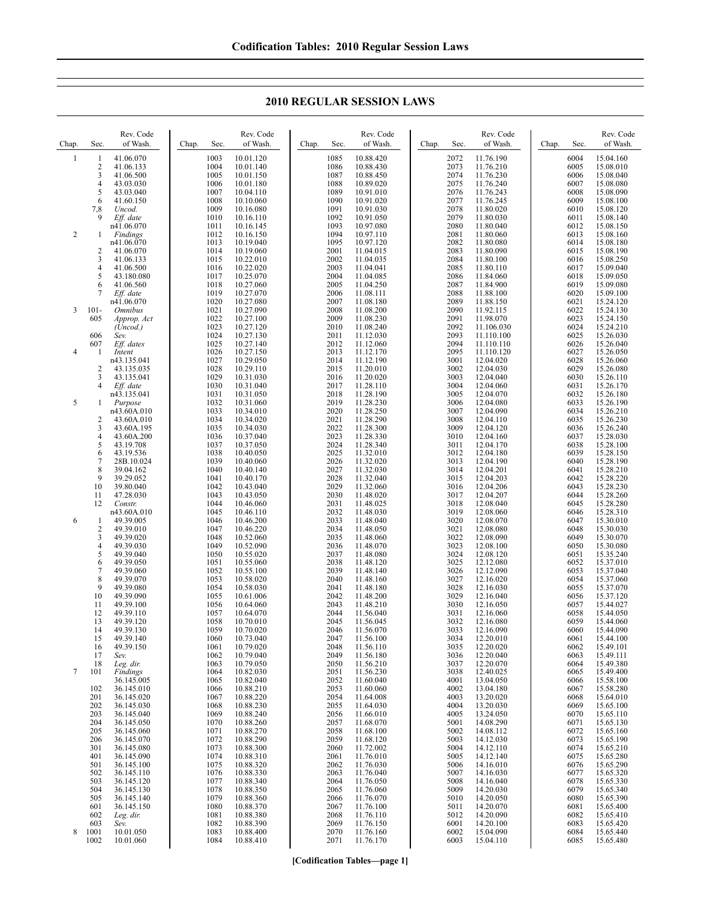| Chap. | Sec.                         | Rev. Code<br>of Wash.         | Chap. | Sec.         | Rev. Code<br>of Wash.  | Chap. | Sec.         | Rev. Code<br>of Wash.  | Chap. | Sec.         | Rev. Code<br>of Wash.    | Chap. | Sec.         | Rev. Code<br>of Wash.  |
|-------|------------------------------|-------------------------------|-------|--------------|------------------------|-------|--------------|------------------------|-------|--------------|--------------------------|-------|--------------|------------------------|
| 1     | 1                            | 41.06.070                     |       | 1003         | 10.01.120              |       | 1085         | 10.88.420              |       | 2072         | 11.76.190                |       | 6004         | 15.04.160              |
|       | $\overline{\mathbf{c}}$<br>3 | 41.06.133<br>41.06.500        |       | 1004<br>1005 | 10.01.140<br>10.01.150 |       | 1086<br>1087 | 10.88.430<br>10.88.450 |       | 2073<br>2074 | 11.76.210<br>11.76.230   |       | 6005<br>6006 | 15.08.010<br>15.08.040 |
|       | 4                            | 43.03.030                     |       | 1006         | 10.01.180              |       | 1088         | 10.89.020              |       | 2075         | 11.76.240                |       | 6007         | 15.08.080              |
|       | 5                            | 43.03.040                     |       | 1007<br>1008 | 10.04.110<br>10.10.060 |       | 1089<br>1090 | 10.91.010<br>10.91.020 |       | 2076<br>2077 | 11.76.243<br>11.76.245   |       | 6008<br>6009 | 15.08.090<br>15.08.100 |
|       | 6<br>7,8                     | 41.60.150<br>Uncod.           |       | 1009         | 10.16.080              |       | 1091         | 10.91.030              |       | 2078         | 11.80.020                |       | 6010         | 15.08.120              |
|       | 9                            | Eff. date                     |       | 1010         | 10.16.110              |       | 1092         | 10.91.050              |       | 2079         | 11.80.030                |       | 6011         | 15.08.140              |
| 2     | 1                            | n41.06.070<br><b>Findings</b> |       | 1011<br>1012 | 10.16.145<br>10.16.150 |       | 1093<br>1094 | 10.97.080<br>10.97.110 |       | 2080<br>2081 | 11.80.040<br>11.80.060   |       | 6012<br>6013 | 15.08.150<br>15.08.160 |
|       |                              | n41.06.070                    |       | 1013         | 10.19.040              |       | 1095         | 10.97.120              |       | 2082         | 11.80.080                |       | 6014         | 15.08.180              |
|       | 2                            | 41.06.070                     |       | 1014         | 10.19.060              |       | 2001         | 11.04.015              |       | 2083         | 11.80.090                |       | 6015         | 15.08.190              |
|       | 3<br>4                       | 41.06.133<br>41.06.500        |       | 1015<br>1016 | 10.22.010<br>10.22.020 |       | 2002<br>2003 | 11.04.035<br>11.04.041 |       | 2084<br>2085 | 11.80.100<br>11.80.110   |       | 6016<br>6017 | 15.08.250<br>15.09.040 |
|       | 5                            | 43.180.080                    |       | 1017         | 10.25.070              |       | 2004         | 11.04.085              |       | 2086         | 11.84.060                |       | 6018         | 15.09.050              |
|       | 6                            | 41.06.560                     |       | 1018         | 10.27.060              |       | 2005         | 11.04.250              |       | 2087         | 11.84.900                |       | 6019         | 15.09.080              |
|       | 7                            | Eff. date<br>n41.06.070       |       | 1019<br>1020 | 10.27.070<br>10.27.080 |       | 2006<br>2007 | 11.08.111<br>11.08.180 |       | 2088<br>2089 | 11.88.100<br>11.88.150   |       | 6020<br>6021 | 15.09.100<br>15.24.120 |
| 3     | $101 -$                      | <i><b>Omnibus</b></i>         |       | 1021         | 10.27.090              |       | 2008         | 11.08.200              |       | 2090         | 11.92.115                |       | 6022         | 15.24.130              |
|       | 605                          | Approp. Act                   |       | 1022<br>1023 | 10.27.100              |       | 2009         | 11.08.230              |       | 2091<br>2092 | 11.98.070                |       | 6023         | 15.24.150<br>15.24.210 |
|       | 606                          | (Uncod.)<br>Sev.              |       | 1024         | 10.27.120<br>10.27.130 |       | 2010<br>2011 | 11.08.240<br>11.12.030 |       | 2093         | 11.106.030<br>11.110.100 |       | 6024<br>6025 | 15.26.030              |
|       | 607                          | Eff. dates                    |       | 1025         | 10.27.140              |       | 2012         | 11.12.060              |       | 2094         | 11.110.110               |       | 6026         | 15.26.040              |
| 4     |                              | Intent<br>n43.135.041         |       | 1026<br>1027 | 10.27.150<br>10.29.050 |       | 2013<br>2014 | 11.12.170<br>11.12.190 |       | 2095<br>3001 | 11.110.120<br>12.04.020  |       | 6027<br>6028 | 15.26.050<br>15.26.060 |
|       | 2                            | 43.135.035                    |       | 1028         | 10.29.110              |       | 2015         | 11.20.010              |       | 3002         | 12.04.030                |       | 6029         | 15.26.080              |
|       | 3                            | 43.135.041                    |       | 1029         | 10.31.030              |       | 2016         | 11.20.020              |       | 3003         | 12.04.040                |       | 6030         | 15.26.110              |
|       | 4                            | Eff. date<br>n43.135.041      |       | 1030<br>1031 | 10.31.040<br>10.31.050 |       | 2017<br>2018 | 11.28.110<br>11.28.190 |       | 3004<br>3005 | 12.04.060<br>12.04.070   |       | 6031<br>6032 | 15.26.170<br>15.26.180 |
| 5     | 1                            | Purpose                       |       | 1032         | 10.31.060              |       | 2019         | 11.28.230              |       | 3006         | 12.04.080                |       | 6033         | 15.26.190              |
|       |                              | n43.60A.010                   |       | 1033         | 10.34.010              |       | 2020         | 11.28.250              |       | 3007         | 12.04.090                |       | 6034         | 15.26.210              |
|       | 2<br>3                       | 43.60A.010<br>43.60A.195      |       | 1034<br>1035 | 10.34.020<br>10.34.030 |       | 2021<br>2022 | 11.28.290<br>11.28.300 |       | 3008<br>3009 | 12.04.110<br>12.04.120   |       | 6035<br>6036 | 15.26.230<br>15.26.240 |
|       | 4                            | 43.60A.200                    |       | 1036         | 10.37.040              |       | 2023         | 11.28.330              |       | 3010         | 12.04.160                |       | 6037         | 15.28.030              |
|       | 5<br>6                       | 43.19.708                     |       | 1037<br>1038 | 10.37.050<br>10.40.050 |       | 2024<br>2025 | 11.28.340<br>11.32.010 |       | 3011<br>3012 | 12.04.170<br>12.04.180   |       | 6038<br>6039 | 15.28.100<br>15.28.150 |
|       | 7                            | 43.19.536<br>28B.10.024       |       | 1039         | 10.40.060              |       | 2026         | 11.32.020              |       | 3013         | 12.04.190                |       | 6040         | 15.28.190              |
|       | 8                            | 39.04.162                     |       | 1040         | 10.40.140              |       | 2027         | 11.32.030              |       | 3014         | 12.04.201                |       | 6041         | 15.28.210              |
|       | 9<br>10                      | 39.29.052<br>39.80.040        |       | 1041<br>1042 | 10.40.170<br>10.43.040 |       | 2028<br>2029 | 11.32.040<br>11.32.060 |       | 3015<br>3016 | 12.04.203<br>12.04.206   |       | 6042<br>6043 | 15.28.220<br>15.28.230 |
|       | 11                           | 47.28.030                     |       | 1043         | 10.43.050              |       | 2030         | 11.48.020              |       | 3017         | 12.04.207                |       | 6044         | 15.28.260              |
|       | 12                           | Constr.                       |       | 1044         | 10.46.060              |       | 2031         | 11.48.025              |       | 3018         | 12.08.040                |       | 6045         | 15.28.280              |
| 6     | 1                            | n43.60A.010<br>49.39.005      |       | 1045<br>1046 | 10.46.110<br>10.46.200 |       | 2032<br>2033 | 11.48.030<br>11.48.040 |       | 3019<br>3020 | 12.08.060<br>12.08.070   |       | 6046<br>6047 | 15.28.310<br>15.30.010 |
|       | $\overline{\mathbf{c}}$      | 49.39.010                     |       | 1047         | 10.46.220              |       | 2034         | 11.48.050              |       | 3021         | 12.08.080                |       | 6048         | 15.30.030              |
|       | 3<br>4                       | 49.39.020<br>49.39.030        |       | 1048<br>1049 | 10.52.060<br>10.52.090 |       | 2035<br>2036 | 11.48.060<br>11.48.070 |       | 3022<br>3023 | 12.08.090<br>12.08.100   |       | 6049<br>6050 | 15.30.070<br>15.30.080 |
|       | 5                            | 49.39.040                     |       | 1050         | 10.55.020              |       | 2037         | 11.48.080              |       | 3024         | 12.08.120                |       | 6051         | 15.35.240              |
|       | 6                            | 49.39.050                     |       | 1051         | 10.55.060              |       | 2038         | 11.48.120              |       | 3025         | 12.12.080                |       | 6052         | 15.37.010              |
|       | 7<br>8                       | 49.39.060<br>49.39.070        |       | 1052<br>1053 | 10.55.100<br>10.58.020 |       | 2039<br>2040 | 11.48.140<br>11.48.160 |       | 3026<br>3027 | 12.12.090<br>12.16.020   |       | 6053<br>6054 | 15.37.040<br>15.37.060 |
|       | 9                            | 49.39.080                     |       | 1054         | 10.58.030              |       | 2041         | 11.48.180              |       | 3028         | 12.16.030                |       | 6055         | 15.37.070              |
|       | 10                           | 49.39.090                     |       | 1055         | 10.61.006              |       | 2042         | 11.48.200              |       | 3029         | 12.16.040                |       | 6056         | 15.37.120              |
|       | 11<br>12                     | 49.39.100<br>49.39.110        |       | 1056<br>1057 | 10.64.060<br>10.64.070 |       | 2043<br>2044 | 11.48.210<br>11.56.040 |       | 3030<br>3031 | 12.16.050<br>12.16.060   |       | 6057<br>6058 | 15.44.027<br>15.44.050 |
|       | 13                           | 49.39.120                     |       | 1058         | 10.70.010              |       | 2045         | 11.56.045              |       | 3032         | 12.16.080                |       | 6059         | 15.44.060              |
|       | 14<br>15                     | 49.39.130<br>49.39.140        |       | 1059<br>1060 | 10.70.020<br>10.73.040 |       | 2046<br>2047 | 11.56.070<br>11.56.100 |       | 3033<br>3034 | 12.16.090<br>12.20.010   |       | 6060<br>6061 | 15.44.090<br>15.44.100 |
|       | 16                           | 49.39.150                     |       | 1061         | 10.79.020              |       | 2048         | 11.56.110              |       | 3035         | 12.20.020                |       | 6062         | 15.49.101              |
|       | 17                           | Sev.                          |       | 1062         | 10.79.040              |       | 2049         | 11.56.180              |       | 3036         | 12.20.040                |       | 6063         | 15.49.111              |
| 7     | 18<br>101                    | Leg. dir.<br>Findings         |       | 1063<br>1064 | 10.79.050<br>10.82.030 |       | 2050<br>2051 | 11.56.210<br>11.56.230 |       | 3037<br>3038 | 12.20.070<br>12.40.025   |       | 6064<br>6065 | 15.49.380<br>15.49.400 |
|       |                              | 36.145.005                    |       | 1065         | 10.82.040              |       | 2052         | 11.60.040              |       | 4001         | 13.04.050                |       | 6066         | 15.58.100              |
|       | 102                          | 36.145.010                    |       | 1066         | 10.88.210<br>10.88.220 |       | 2053<br>2054 | 11.60.060              |       | 4002<br>4003 | 13.04.180                |       | 6067         | 15.58.280              |
|       | 201<br>202                   | 36.145.020<br>36.145.030      |       | 1067<br>1068 | 10.88.230              |       | 2055         | 11.64.008<br>11.64.030 |       | 4004         | 13.20.020<br>13.20.030   |       | 6068<br>6069 | 15.64.010<br>15.65.100 |
|       | 203                          | 36.145.040                    |       | 1069         | 10.88.240              |       | 2056         | 11.66.010              |       | 4005         | 13.24.050                |       | 6070         | 15.65.110              |
|       | 204<br>205                   | 36.145.050<br>36.145.060      |       | 1070<br>1071 | 10.88.260<br>10.88.270 |       | 2057<br>2058 | 11.68.070              |       | 5001<br>5002 | 14.08.290                |       | 6071<br>6072 | 15.65.130              |
|       | 206                          | 36.145.070                    |       | 1072         | 10.88.290              |       | 2059         | 11.68.100<br>11.68.120 |       | 5003         | 14.08.112<br>14.12.030   |       | 6073         | 15.65.160<br>15.65.190 |
|       | 301                          | 36.145.080                    |       | 1073         | 10.88.300              |       | 2060         | 11.72.002              |       | 5004         | 14.12.110                |       | 6074         | 15.65.210              |
|       | 401<br>501                   | 36.145.090<br>36.145.100      |       | 1074<br>1075 | 10.88.310<br>10.88.320 |       | 2061<br>2062 | 11.76.010<br>11.76.030 |       | 5005<br>5006 | 14.12.140<br>14.16.010   |       | 6075<br>6076 | 15.65.280<br>15.65.290 |
|       | 502                          | 36.145.110                    |       | 1076         | 10.88.330              |       | 2063         | 11.76.040              |       | 5007         | 14.16.030                |       | 6077         | 15.65.320              |
|       | 503                          | 36.145.120                    |       | 1077         | 10.88.340              |       | 2064         | 11.76.050              |       | 5008         | 14.16.040                |       | 6078         | 15.65.330              |
|       | 504<br>505                   | 36.145.130<br>36.145.140      |       | 1078<br>1079 | 10.88.350<br>10.88.360 |       | 2065<br>2066 | 11.76.060<br>11.76.070 |       | 5009<br>5010 | 14.20.030<br>14.20.050   |       | 6079<br>6080 | 15.65.340<br>15.65.390 |
|       | 601                          | 36.145.150                    |       | 1080         | 10.88.370              |       | 2067         | 11.76.100              |       | 5011         | 14.20.070                |       | 6081         | 15.65.400              |
|       | 602                          | Leg. dir.                     |       | 1081         | 10.88.380              |       | 2068         | 11.76.110              |       | 5012         | 14.20.090                |       | 6082         | 15.65.410              |
| 8     | 603<br>1001                  | Sev.<br>10.01.050             |       | 1082<br>1083 | 10.88.390<br>10.88.400 |       | 2069<br>2070 | 11.76.150<br>11.76.160 |       | 6001<br>6002 | 14.20.100<br>15.04.090   |       | 6083<br>6084 | 15.65.420<br>15.65.440 |
|       | 1002                         | 10.01.060                     |       | 1084         | 10.88.410              |       | 2071         | 11.76.170              |       | 6003         | 15.04.110                |       | 6085         | 15.65.480              |

## **2010 REGULAR SESSION LAWS**

**[Codification Tables—page 1]**

l,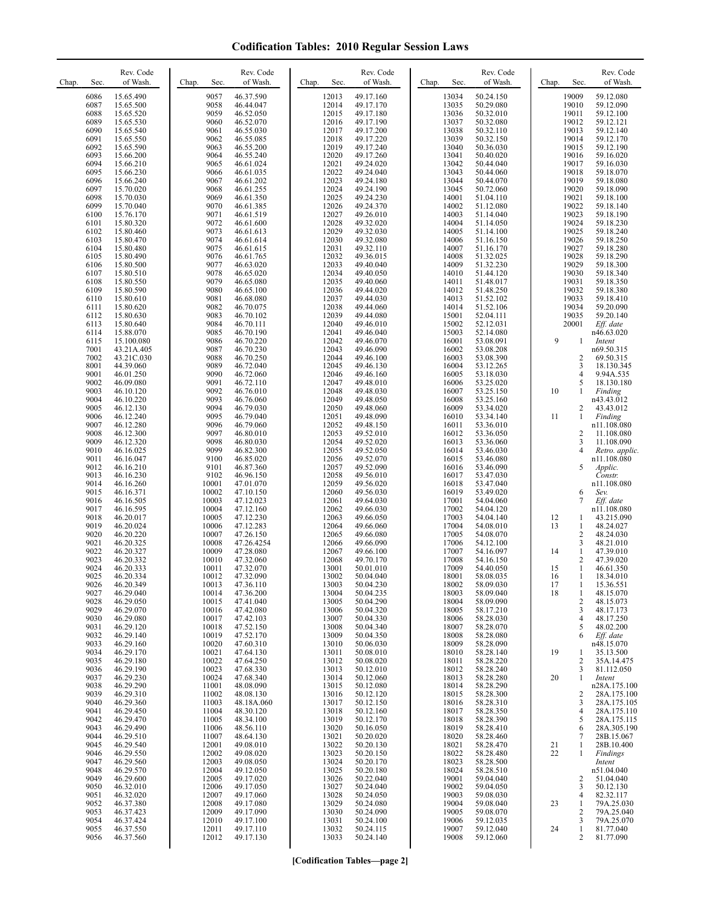| Chap. | Sec.         | Rev. Code<br>of Wash.   | Chap. | Sec.           | Rev. Code<br>of Wash.  | Chap. | Sec.           | Rev. Code<br>of Wash.  | Chap.<br>Sec.  | Rev. Code<br>of Wash.  | Chap.           | Sec.                | Rev. Code<br>of Wash.         |
|-------|--------------|-------------------------|-------|----------------|------------------------|-------|----------------|------------------------|----------------|------------------------|-----------------|---------------------|-------------------------------|
|       | 6086         | 15.65.490               |       | 9057           | 46.37.590              |       | 12013          | 49.17.160              | 13034          | 50.24.150              |                 | 19009               | 59.12.080                     |
|       | 6087         | 15.65.500               |       | 9058           | 46.44.047              |       | 12014          | 49.17.170              | 13035          | 50.29.080              |                 | 19010               | 59.12.090                     |
|       | 6088<br>6089 | 15.65.520<br>15.65.530  |       | 9059<br>9060   | 46.52.050<br>46.52.070 |       | 12015<br>12016 | 49.17.180<br>49.17.190 | 13036<br>13037 | 50.32.010<br>50.32.080 |                 | 19011<br>19012      | 59.12.100<br>59.12.121        |
|       | 6090         | 15.65.540               |       | 9061           | 46.55.030              |       | 12017          | 49.17.200              | 13038          | 50.32.110              |                 | 19013               | 59.12.140                     |
|       | 6091         | 15.65.550               |       | 9062           | 46.55.085              |       | 12018          | 49.17.220              | 13039          | 50.32.150              |                 | 19014               | 59.12.170                     |
|       | 6092<br>6093 | 15.65.590<br>15.66.200  |       | 9063<br>9064   | 46.55.200<br>46.55.240 |       | 12019<br>12020 | 49.17.240<br>49.17.260 | 13040<br>13041 | 50.36.030<br>50.40.020 |                 | 19015<br>19016      | 59.12.190<br>59.16.020        |
|       | 6094         | 15.66.210               |       | 9065           | 46.61.024              |       | 12021          | 49.24.020              | 13042          | 50.44.040              |                 | 19017               | 59.16.030                     |
|       | 6095         | 15.66.230               |       | 9066           | 46.61.035              |       | 12022          | 49.24.040              | 13043          | 50.44.060              |                 | 19018               | 59.18.070                     |
|       | 6096<br>6097 | 15.66.240               |       | 9067<br>9068   | 46.61.202              |       | 12023<br>12024 | 49.24.180<br>49.24.190 | 13044<br>13045 | 50.44.070              |                 | 19019<br>19020      | 59.18.080                     |
|       | 6098         | 15.70.020<br>15.70.030  |       | 9069           | 46.61.255<br>46.61.350 |       | 12025          | 49.24.230              | 14001          | 50.72.060<br>51.04.110 |                 | 19021               | 59.18.090<br>59.18.100        |
|       | 6099         | 15.70.040               |       | 9070           | 46.61.385              |       | 12026          | 49.24.370              | 14002          | 51.12.080              |                 | 19022               | 59.18.140                     |
|       | 6100         | 15.76.170<br>15.80.320  |       | 9071<br>9072   | 46.61.519<br>46.61.600 |       | 12027<br>12028 | 49.26.010              | 14003<br>14004 | 51.14.040              |                 | 19023<br>19024      | 59.18.190                     |
|       | 6101<br>6102 | 15.80.460               |       | 9073           | 46.61.613              |       | 12029          | 49.32.020<br>49.32.030 | 14005          | 51.14.050<br>51.14.100 |                 | 19025               | 59.18.230<br>59.18.240        |
|       | 6103         | 15.80.470               |       | 9074           | 46.61.614              |       | 12030          | 49.32.080              | 14006          | 51.16.150              |                 | 19026               | 59.18.250                     |
|       | 6104<br>6105 | 15.80.480<br>15.80.490  |       | 9075<br>9076   | 46.61.615<br>46.61.765 |       | 12031<br>12032 | 49.32.110<br>49.36.015 | 14007<br>14008 | 51.16.170<br>51.32.025 |                 | 19027<br>19028      | 59.18.280<br>59.18.290        |
|       | 6106         | 15.80.500               |       | 9077           | 46.63.020              |       | 12033          | 49.40.040              | 14009          | 51.32.230              |                 | 19029               | 59.18.300                     |
|       | 6107         | 15.80.510               |       | 9078           | 46.65.020              |       | 12034          | 49.40.050              | 14010          | 51.44.120              |                 | 19030               | 59.18.340                     |
|       | 6108<br>6109 | 15.80.550<br>15.80.590  |       | 9079<br>9080   | 46.65.080<br>46.65.100 |       | 12035<br>12036 | 49.40.060<br>49.44.020 | 14011<br>14012 | 51.48.017              |                 | 19031<br>19032      | 59.18.350<br>59.18.380        |
|       | 6110         | 15.80.610               |       | 9081           | 46.68.080              |       | 12037          | 49.44.030              | 14013          | 51.48.250<br>51.52.102 |                 | 19033               | 59.18.410                     |
|       | 6111         | 15.80.620               |       | 9082           | 46.70.075              |       | 12038          | 49.44.060              | 14014          | 51.52.106              |                 | 19034               | 59.20.090                     |
|       | 6112         | 15.80.630               |       | 9083<br>9084   | 46.70.102              |       | 12039<br>12040 | 49.44.080              | 15001          | 52.04.111              |                 | 19035<br>20001      | 59.20.140                     |
|       | 6113<br>6114 | 15.80.640<br>15.88.070  |       | 9085           | 46.70.111<br>46.70.190 |       | 12041          | 49.46.010<br>49.46.040 | 15002<br>15003 | 52.12.031<br>52.14.080 |                 |                     | Eff. date<br>n46.63.020       |
|       | 6115         | 15.100.080              |       | 9086           | 46.70.220              |       | 12042          | 49.46.070              | 16001          | 53.08.091              | 9               | -1                  | Intent                        |
|       | 7001         | 43.21A.405              |       | 9087<br>9088   | 46.70.230              |       | 12043          | 49.46.090              | 16002          | 53.08.208              |                 |                     | n69.50.315<br>69.50.315       |
|       | 7002<br>8001 | 43.21C.030<br>44.39.060 |       | 9089           | 46.70.250<br>46.72.040 |       | 12044<br>12045 | 49.46.100<br>49.46.130 | 16003<br>16004 | 53.08.390<br>53.12.265 |                 | 2<br>3              | 18.130.345                    |
|       | 9001         | 46.01.250               |       | 9090           | 46.72.060              |       | 12046          | 49.46.160              | 16005          | 53.18.030              |                 | $\overline{4}$      | 9.94A.535                     |
|       | 9002         | 46.09.080               |       | 9091           | 46.72.110<br>46.76.010 |       | 12047          | 49.48.010              | 16006          | 53.25.020              |                 | 5<br>1              | 18.130.180                    |
|       | 9003<br>9004 | 46.10.120<br>46.10.220  |       | 9092<br>9093   | 46.76.060              |       | 12048<br>12049 | 49.48.030<br>49.48.050 | 16007<br>16008 | 53.25.150<br>53.25.160 | 10              |                     | Finding<br>n43.43.012         |
|       | 9005         | 46.12.130               |       | 9094           | 46.79.030              |       | 12050          | 49.48.060              | 16009          | 53.34.020              |                 | 2                   | 43.43.012                     |
|       | 9006<br>9007 | 46.12.240<br>46.12.280  |       | 9095<br>9096   | 46.79.040<br>46.79.060 |       | 12051<br>12052 | 49.48.090<br>49.48.150 | 16010<br>16011 | 53.34.140<br>53.36.010 | 11              | $\mathbf{1}$        | Finding                       |
|       | 9008         | 46.12.300               |       | 9097           | 46.80.010              |       | 12053          | 49.52.010              | 16012          | 53.36.050              |                 | 2                   | n11.108.080<br>11.108.080     |
|       | 9009         | 46.12.320               |       | 9098           | 46.80.030              |       | 12054          | 49.52.020              | 16013          | 53.36.060              |                 | 3                   | 11.108.090                    |
|       | 9010<br>9011 | 46.16.025<br>46.16.047  |       | 9099<br>9100   | 46.82.300<br>46.85.020 |       | 12055<br>12056 | 49.52.050<br>49.52.070 | 16014<br>16015 | 53.46.030<br>53.46.080 |                 | $\overline{4}$      | Retro. applic.<br>n11.108.080 |
|       | 9012         | 46.16.210               |       | 9101           | 46.87.360              |       | 12057          | 49.52.090              | 16016          | 53.46.090              |                 | 5                   | Applic.                       |
|       | 9013         | 46.16.230               |       | 9102           | 46.96.150              |       | 12058          | 49.56.010              | 16017          | 53.47.030              |                 |                     | Constr.                       |
|       | 9014<br>9015 | 46.16.260<br>46.16.371  |       | 10001<br>10002 | 47.01.070<br>47.10.150 |       | 12059<br>12060 | 49.56.020<br>49.56.030 | 16018<br>16019 | 53.47.040<br>53.49.020 |                 | 6                   | n11.108.080<br>Sev.           |
|       | 9016         | 46.16.505               |       | 10003          | 47.12.023              |       | 12061          | 49.64.030              | 17001          | 54.04.060              |                 | 7                   | Eff. date                     |
|       | 9017         | 46.16.595               |       | 10004          | 47.12.160              |       | 12062          | 49.66.030              | 17002          | 54.04.120              |                 |                     | n11.108.080                   |
|       | 9018<br>9019 | 46.20.017<br>46.20.024  |       | 10005<br>10006 | 47.12.230<br>47.12.283 |       | 12063<br>12064 | 49.66.050<br>49.66.060 | 17003<br>17004 | 54.04.140<br>54.08.010 | $\frac{12}{13}$ | 1<br>$\mathbf{1}$   | 43.215.090<br>48.24.027       |
|       | 9020         | 46.20.220               |       | 10007          | 47.26.150              |       | 12065          | 49.66.080              | 17005          | 54.08.070              |                 | 2                   | 48.24.030                     |
|       | 9021         | 46.20.325               |       | 10008          | 47.26.4254             |       | 12066          | 49.66.090              | 17006          | 54.12.100              |                 | 3                   | 48.21.010                     |
|       | 9022<br>9023 | 46.20.327<br>46.20.332  |       | 10009<br>10010 | 47.28.080<br>47.32.060 |       | 12067<br>12068 | 49.66.100<br>49.70.170 | 17007<br>17008 | 54.16.097<br>54.16.150 | 14              | 1<br>$\overline{c}$ | 47.39.010<br>47.39.020        |
|       | 9024         | 46.20.333               |       | 10011          | 47.32.070              |       | 13001          | 50.01.010              | 17009          | 54.40.050              | 15              | $\mathbf{1}$        | 46.61.350                     |
|       | 9025         | 46.20.334               |       | 10012          | 47.32.090              |       | 13002          | 50.04.040<br>50.04.230 | 18001          | 58.08.035              | 16              |                     | 18.34.010                     |
|       | 9026<br>9027 | 46.20.349<br>46.29.040  |       | 10013<br>10014 | 47.36.110<br>47.36.200 |       | 13003<br>13004 | 50.04.235              | 18002<br>18003 | 58.09.030<br>58.09.040 | 17<br>18        | 1<br>1              | 15.36.551<br>48.15.070        |
|       | 9028         | 46.29.050               |       | 10015          | 47.41.040              |       | 13005          | 50.04.290              | 18004          | 58.09.090              |                 | 2                   | 48.15.073                     |
|       | 9029<br>9030 | 46.29.070<br>46.29.080  |       | 10016<br>10017 | 47.42.080<br>47.42.103 |       | 13006<br>13007 | 50.04.320<br>50.04.330 | 18005<br>18006 | 58.17.210<br>58.28.030 |                 | 3<br>$\overline{4}$ | 48.17.173<br>48.17.250        |
|       | 9031         | 46.29.120               |       | 10018          | 47.52.150              |       | 13008          | 50.04.340              | 18007          | 58.28.070              |                 | 5                   | 48.02.200                     |
|       | 9032         | 46.29.140               |       | 10019          | 47.52.170              |       | 13009          | 50.04.350              | 18008          | 58.28.080              |                 | 6                   | Eff. date                     |
|       | 9033<br>9034 | 46.29.160<br>46.29.170  |       | 10020<br>10021 | 47.60.310<br>47.64.130 |       | 13010<br>13011 | 50.06.030<br>50.08.010 | 18009<br>18010 | 58.28.090<br>58.28.140 | 19              | 1                   | n48.15.070<br>35.13.500       |
|       | 9035         | 46.29.180               |       | 10022          | 47.64.250              |       | 13012          | 50.08.020              | 18011          | 58.28.220              |                 | 2                   | 35A.14.475                    |
|       | 9036         | 46.29.190               |       | 10023          | 47.68.330              |       | 13013          | 50.12.010              | 18012          | 58.28.240              |                 | 3                   | 81.112.050                    |
|       | 9037<br>9038 | 46.29.230<br>46.29.290  |       | 10024<br>11001 | 47.68.340<br>48.08.090 |       | 13014<br>13015 | 50.12.060<br>50.12.080 | 18013<br>18014 | 58.28.280<br>58.28.290 | 20              | $\mathbf{1}$        | Intent<br>n28A.175.100        |
|       | 9039         | 46.29.310               |       | 11002          | 48.08.130              |       | 13016          | 50.12.120              | 18015          | 58.28.300              |                 | 2                   | 28A.175.100                   |
|       | 9040         | 46.29.360               |       | 11003          | 48.18A.060             |       | 13017          | 50.12.150              | 18016          | 58.28.310              |                 | 3                   | 28A.175.105                   |
|       | 9041<br>9042 | 46.29.450<br>46.29.470  |       | 11004<br>11005 | 48.30.120<br>48.34.100 |       | 13018<br>13019 | 50.12.160<br>50.12.170 | 18017<br>18018 | 58.28.350<br>58.28.390 |                 | 4<br>5              | 28A.175.110<br>28A.175.115    |
|       | 9043         | 46.29.490               |       | 11006          | 48.56.110              |       | 13020          | 50.16.050              | 18019          | 58.28.410              |                 | 6                   | 28A.305.190                   |
|       | 9044         | 46.29.510               |       | 11007          | 48.64.130              |       | 13021          | 50.20.020              | 18020          | 58.28.460              |                 | 7                   | 28B.15.067                    |
|       | 9045<br>9046 | 46.29.540<br>46.29.550  |       | 12001<br>12002 | 49.08.010<br>49.08.020 |       | 13022<br>13023 | 50.20.130<br>50.20.150 | 18021<br>18022 | 58.28.470<br>58.28.480 | 21<br>22        | 1<br>1              | 28B.10.400<br>Findings        |
|       | 9047         | 46.29.560               |       | 12003          | 49.08.050              |       | 13024          | 50.20.170              | 18023          | 58.28.500              |                 |                     | Intent                        |
|       | 9048         | 46.29.570               |       | 12004          | 49.12.050              |       | 13025          | 50.20.180              | 18024          | 58.28.510              |                 |                     | n51.04.040                    |
|       | 9049<br>9050 | 46.29.600<br>46.32.010  |       | 12005<br>12006 | 49.17.020<br>49.17.050 |       | 13026<br>13027 | 50.22.040<br>50.24.040 | 19001<br>19002 | 59.04.040<br>59.04.050 |                 | 2<br>3              | 51.04.040<br>50.12.130        |
|       | 9051         | 46.32.020               |       | 12007          | 49.17.060              |       | 13028          | 50.24.050              | 19003          | 59.08.030              |                 | 4                   | 82.32.117                     |
|       | 9052         | 46.37.380               |       | 12008          | 49.17.080              |       | 13029          | 50.24.080              | 19004          | 59.08.040              | 23              | 1                   | 79A.25.030                    |
|       | 9053<br>9054 | 46.37.423<br>46.37.424  |       | 12009<br>12010 | 49.17.090<br>49.17.100 |       | 13030<br>13031 | 50.24.090<br>50.24.100 | 19005<br>19006 | 59.08.070<br>59.12.035 |                 | 2<br>3              | 79A.25.040<br>79A.25.070      |
|       | 9055         | 46.37.550               |       | 12011          | 49.17.110              |       | 13032          | 50.24.115              | 19007          | 59.12.040              | 24              | 1                   | 81.77.040                     |
|       | 9056         | 46.37.560               |       | 12012          | 49.17.130              |       | 13033          | 50.24.140              | 19008          | 59.12.060              |                 | 2                   | 81.77.090                     |
|       |              |                         |       |                |                        |       |                |                        |                |                        |                 |                     |                               |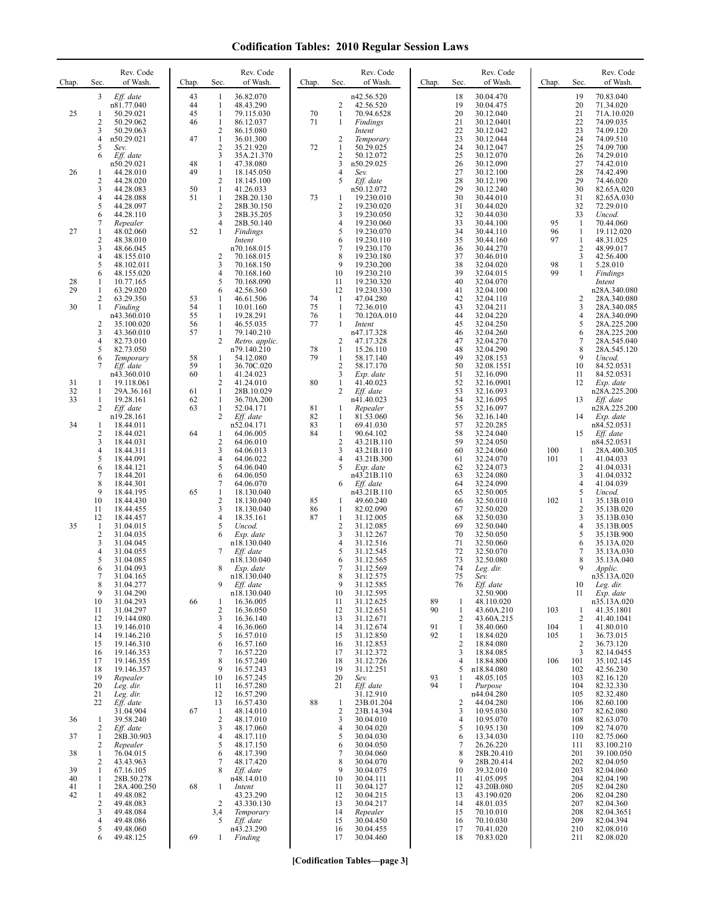| Chap.    | Sec.                                | Rev. Code<br>of Wash.    | Chap.    | Sec.                          | Rev. Code<br>of Wash.              | Chap.    | Sec.                       | Rev. Code<br>of Wash.    | Chap.    | Sec.                         | Rev. Code<br>of Wash.    | Chap.      | Sec.                         | Rev. Code<br>of Wash.       |
|----------|-------------------------------------|--------------------------|----------|-------------------------------|------------------------------------|----------|----------------------------|--------------------------|----------|------------------------------|--------------------------|------------|------------------------------|-----------------------------|
|          | 3                                   | Eff. date<br>n81.77.040  | 43<br>44 | 1<br>$\mathbf{1}$             | 36.82.070<br>48.43.290             |          | 2                          | n42.56.520<br>42.56.520  |          | 18<br>19                     | 30.04.470<br>30.04.475   |            | 19<br>20                     | 70.83.040<br>71.34.020      |
| 25       | $\mathbf{1}$<br>2                   | 50.29.021<br>50.29.062   | 45<br>46 | 1<br>1                        | 79.115.030<br>86.12.037            | 70<br>71 | 1<br>1                     | 70.94.6528<br>Findings   |          | 20<br>21                     | 30.12.040<br>30.12.0401  |            | 21<br>22                     | 71A.10.020<br>74.09.035     |
|          | 3<br>4                              | 50.29.063<br>n50.29.021  | 47       | 2<br>$\mathbf{1}$             | 86.15.080<br>36.01.300             |          | $\boldsymbol{2}$           | Intent                   |          | 22<br>23                     | 30.12.042<br>30.12.044   |            | 23<br>24                     | 74.09.120<br>74.09.510      |
|          | 5                                   | Sev.                     |          | 2                             | 35.21.920                          | 72       | $\mathbf{1}$               | Temporary<br>50.29.025   |          | 24                           | 30.12.047                |            | 25                           | 74.09.700                   |
|          | 6                                   | Eff. date<br>n50.29.021  | 48       | 3<br>1                        | 35A.21.370<br>47.38.080            |          | $\overline{2}$<br>3        | 50.12.072<br>n50.29.025  |          | 25<br>26                     | 30.12.070<br>30.12.090   |            | 26<br>27                     | 74.29.010<br>74.42.010      |
| 26       | 1<br>2                              | 44.28.010<br>44.28.020   | 49       | 1<br>2                        | 18.145.050<br>18.145.100           |          | 4<br>5                     | Sev.<br>Eff. date        |          | 27<br>28                     | 30.12.100<br>30.12.190   |            | 28<br>29                     | 74.42.490<br>74.46.020      |
|          | 3<br>4                              | 44.28.083<br>44.28.088   | 50<br>51 | $\mathbf{1}$<br>1             | 41.26.033<br>28B.20.130            | 73       | 1                          | n50.12.072<br>19.230.010 |          | 29<br>30                     | 30.12.240<br>30.44.010   |            | 30<br>31                     | 82.65A.020<br>82.65A.030    |
|          | 5<br>6                              | 44.28.097<br>44.28.110   |          | $\overline{2}$<br>3           | 28B.30.150<br>28B.35.205           |          | $\sqrt{2}$<br>3            | 19.230.020<br>19.230.050 |          | 31<br>32                     | 30.44.020<br>30.44.030   |            | 32<br>33                     | 72.29.010<br>Uncod.         |
| 27       | 7<br>1                              | Repealer<br>48.02.060    | 52       | $\overline{4}$<br>1           | 28B.50.140<br>Findings             |          | 4<br>5                     | 19.230.060<br>19.230.070 |          | 33<br>34                     | 30.44.100<br>30.44.110   | 95<br>96   | 1<br>1                       | 70.44.060<br>19.112.020     |
|          | 2<br>3                              | 48.38.010<br>48.66.045   |          |                               | Intent<br>n70.168.015              |          | 6<br>7                     | 19.230.110<br>19.230.170 |          | 35<br>36                     | 30.44.160<br>30.44.270   | 97         | 1<br>2                       | 48.31.025<br>48.99.017      |
|          | 4<br>5                              | 48.155.010<br>48.102.011 |          | 2<br>3                        | 70.168.015<br>70.168.150           |          | 8<br>9                     | 19.230.180<br>19.230.200 |          | 37<br>38                     | 30.46.010<br>32.04.020   | 98         | 3<br>1                       | 42.56.400<br>5.28.010       |
| 28       | 6<br>1                              | 48.155.020<br>10.77.165  |          | 4<br>5                        | 70.168.160<br>70.168.090           |          | 10<br>11                   | 19.230.210<br>19.230.320 |          | 39<br>40                     | 32.04.015<br>32.04.070   | 99         | 1                            | Findings<br>Intent          |
| 29       | 1<br>$\overline{2}$                 | 63.29.020<br>63.29.350   | 53       | 6<br>1                        | 42.56.360<br>46.61.506             | 74       | 12<br>-1                   | 19.230.330<br>47.04.280  |          | 41<br>42                     | 32.04.100<br>32.04.110   |            | 2                            | n28A.340.080<br>28A.340.080 |
| 30       | 1                                   | Finding<br>n43.360.010   | 54<br>55 | 1<br>1                        | 10.01.160                          | 75       | -1<br>$\mathbf{1}$         | 72.36.010                |          | 43<br>44                     | 32.04.211                |            | 3<br>4                       | 28A.340.085                 |
|          | $\overline{2}$                      | 35.100.020               | 56       | 1                             | 19.28.291<br>46.55.035             | 76<br>77 | $\mathbf{1}$               | 70.120A.010<br>Intent    |          | 45                           | 32.04.220<br>32.04.250   |            | 5                            | 28A.340.090<br>28A.225.200  |
|          | 3<br>4                              | 43.360.010<br>82.73.010  | 57       | $\mathbf{1}$<br>2             | 79.140.210<br>Retro. applic.       |          | $\overline{c}$             | n47.17.328<br>47.17.328  |          | 46<br>47                     | 32.04.260<br>32.04.270   |            | 6<br>7                       | 28A.225.200<br>28A.545.040  |
|          | 5<br>6                              | 82.73.050<br>Temporary   | 58       | 1                             | n79.140.210<br>54.12.080           | 78<br>79 | 1<br>1                     | 15.26.110<br>58.17.140   |          | 48<br>49                     | 32.04.290<br>32.08.153   |            | 8<br>9                       | 28A.545.120<br>Uncod.       |
|          | 7                                   | Eff. date<br>n43.360.010 | 59<br>60 | 1<br>1                        | 36.70C.020<br>41.24.023            |          | $\overline{2}$<br>3        | 58.17.170<br>Exp. date   |          | 50<br>51                     | 32.08.1551<br>32.16.090  |            | 10<br>11                     | 84.52.0531<br>84.52.0531    |
| 31<br>32 | $\mathbf{1}$<br>$\mathbf{1}$        | 19.118.061<br>29A.36.161 | 61       | 2<br>1                        | 41.24.010<br>28B.10.029            | 80       | 1<br>$\overline{2}$        | 41.40.023<br>Eff. date   |          | 52<br>53                     | 32.16.0901<br>32.16.093  |            | 12                           | Exp. date<br>n28A.225.200   |
| 33       | 1<br>2                              | 19.28.161<br>Eff. date   | 62<br>63 | 1<br>$\mathbf{1}$             | 36.70A.200<br>52.04.171            | 81       | 1                          | n41.40.023<br>Repealer   |          | 54<br>55                     | 32.16.095<br>32.16.097   |            | 13                           | Eff. date<br>n28A.225.200   |
| 34       | -1                                  | n19.28.161<br>18.44.011  |          | 2                             | Eff. date<br>n52.04.171            | 82<br>83 | 1<br>-1                    | 81.53.060<br>69.41.030   |          | 56<br>57                     | 32.16.140<br>32.20.285   |            | 14                           | Exp. date<br>n84.52.0531    |
|          | 2<br>3                              | 18.44.021<br>18.44.031   | 64       | 1<br>2                        | 64.06.005<br>64.06.010             | 84       | $\mathbf{1}$<br>$\sqrt{2}$ | 90.64.102<br>43.21B.110  |          | 58<br>59                     | 32.24.040<br>32.24.050   |            | 15                           | Eff. date<br>n84.52.0531    |
|          | 4<br>5                              | 18.44.311<br>18.44.091   |          | 3<br>4                        | 64.06.013<br>64.06.022             |          | 3<br>4                     | 43.21B.110<br>43.21B.300 |          | 60<br>61                     | 32.24.060<br>32.24.070   | 100<br>101 | 1<br>1                       | 28A.400.305<br>41.04.033    |
|          | 6<br>7                              | 18.44.121<br>18.44.201   |          | 5<br>6                        | 64.06.040<br>64.06.050             |          | 5                          | Exp. date<br>n43.21B.110 |          | 62<br>63                     | 32.24.073<br>32.24.080   |            | $\overline{c}$<br>3          | 41.04.0331<br>41.04.0332    |
|          | 8<br>9                              | 18.44.301<br>18.44.195   | 65       | 7<br>1                        | 64.06.070<br>18.130.040            |          | 6                          | Eff. date<br>n43.21B.110 |          | 64<br>65                     | 32.24.090<br>32.50.005   |            | 4<br>5                       | 41.04.039<br>Uncod.         |
|          | 10<br>11                            | 18.44.430<br>18.44.455   |          | $\overline{\mathbf{c}}$<br>3  | 18.130.040<br>18.130.040           | 85<br>86 | -1<br>1                    | 49.60.240<br>82.02.090   |          | 66<br>67                     | 32.50.010<br>32.50.020   | 102        | 1<br>2                       | 35.13B.010<br>35.13B.020    |
|          | 12                                  | 18.44.457                |          | $\overline{4}$<br>5           | 18.35.161                          | 87       | 1<br>2                     | 31.12.005<br>31.12.085   |          | 68<br>69                     | 32.50.030                |            | 3<br>4                       | 35.13B.030<br>35.13B.005    |
| 35       | $\mathbf{1}$<br>$\overline{c}$<br>3 | 31.04.015<br>31.04.035   |          | 6                             | Uncod.<br>Exp. date<br>n18.130.040 |          | 3<br>4                     | 31.12.267                |          | 70<br>71                     | 32.50.040<br>32.50.050   |            | 5                            | 35.13B.900                  |
|          | 4                                   | 31.04.045<br>31.04.055   |          | 7                             | Eff. date                          |          | 5                          | 31.12.516<br>31.12.545   |          | 72                           | 32.50.060<br>32.50.070   |            | 6<br>7                       | 35.13A.020<br>35.13A.030    |
|          | 5<br>6                              | 31.04.085<br>31.04.093   |          | 8                             | n18.130.040<br>Exp. date           |          | 6<br>7                     | 31.12.565<br>31.12.569   |          | 73<br>74                     | 32.50.080<br>Leg. dir.   |            | 8<br>9                       | 35.13A.040<br>Applic.       |
|          | 8                                   | 31.04.165<br>31.04.277   |          | 9                             | n18.130.040<br>Eff. date           |          | 8<br>9                     | 31.12.575<br>31.12.585   |          | 75<br>76                     | Sev.<br>Eff. date        |            | 10                           | n35.13A.020<br>Leg. dir.    |
|          | 9<br>10                             | 31.04.290<br>31.04.293   | 66       | -1                            | n18.130.040<br>16.36.005           |          | 10<br>11                   | 31.12.595<br>31.12.625   | 89       | 1                            | 32.50.900<br>48.110.020  |            | 11                           | Exp. date<br>n35.13A.020    |
|          | 11<br>12                            | 31.04.297<br>19.144.080  |          | $\overline{\mathbf{c}}$<br>3  | 16.36.050<br>16.36.140             |          | 12<br>13                   | 31.12.651<br>31.12.671   | 90       | 1<br>$\overline{c}$          | 43.60A.210<br>43.60A.215 | 103        | 1<br>2                       | 41.35.1801<br>41.40.1041    |
|          | 13<br>14                            | 19.146.010<br>19.146.210 |          | 4<br>5                        | 16.36.060<br>16.57.010             |          | 14<br>15                   | 31.12.674<br>31.12.850   | 91<br>92 | 1<br>1                       | 38.40.060<br>18.84.020   | 104<br>105 | $\mathbf{1}$<br>$\mathbf{1}$ | 41.80.010<br>36.73.015      |
|          | 15<br>16                            | 19.146.310<br>19.146.353 |          | 6<br>7                        | 16.57.160<br>16.57.220             |          | 16<br>17                   | 31.12.853<br>31.12.372   |          | $\overline{\mathbf{c}}$<br>3 | 18.84.080<br>18.84.085   |            | $\sqrt{2}$<br>3              | 36.73.120<br>82.14.0455     |
|          | 17<br>18                            | 19.146.355<br>19.146.357 |          | 8<br>9                        | 16.57.240<br>16.57.243             |          | 18<br>19                   | 31.12.726<br>31.12.251   |          | 4<br>5                       | 18.84.800<br>n18.84.080  | 106        | 101<br>102                   | 35.102.145<br>42.56.230     |
|          | 19<br>20                            | Repealer<br>Leg. dir.    |          | 10<br>11                      | 16.57.245<br>16.57.280             |          | 20<br>21                   | Sev.<br>Eff. date        | 93<br>94 | 1<br>1                       | 48.05.105<br>Purpose     |            | 103<br>104                   | 82.16.120<br>82.32.330      |
|          | 21<br>22                            | Leg. dir.<br>Eff. date   |          | 12<br>13                      | 16.57.290<br>16.57.430             | 88       | $\mathbf{1}$               | 31.12.910<br>23B.01.204  |          | $\overline{\mathbf{c}}$      | n44.04.280<br>44.04.280  |            | 105<br>106                   | 82.32.480<br>82.60.100      |
| 36       | $\mathbf{1}$                        | 31.04.904<br>39.58.240   | 67       | -1<br>$\overline{\mathbf{c}}$ | 48.14.010<br>48.17.010             |          | $\overline{2}$<br>3        | 23B.14.394<br>30.04.010  |          | 3<br>4                       | 10.95.030<br>10.95.070   |            | 107<br>108                   | 82.62.080<br>82.63.070      |
|          | 2<br>1                              | Eff. date<br>28B.30.903  |          | 3<br>4                        | 48.17.060<br>48.17.110             |          | $\overline{4}$<br>5        | 30.04.020<br>30.04.030   |          | 5<br>6                       | 10.95.130                |            | 109<br>110                   | 82.74.070<br>82.75.060      |
| 37       | 2                                   | Repealer                 |          | 5                             | 48.17.150                          |          | 6                          | 30.04.050                |          | 7                            | 13.34.030<br>26.26.220   |            | 111                          | 83.100.210                  |
| 38       | -1<br>2                             | 76.04.015<br>43.43.963   |          | 6<br>7                        | 48.17.390<br>48.17.420             |          | 7<br>$\,$ 8 $\,$           | 30.04.060<br>30.04.070   |          | 8<br>9                       | 28B.20.410<br>28B.20.414 |            | 201<br>202                   | 39.100.050<br>82.04.050     |
| 39<br>40 | 1<br>1                              | 67.16.105<br>28B.50.278  |          | 8                             | Eff. date<br>n48.14.010            |          | 9<br>10                    | 30.04.075<br>30.04.111   |          | 10<br>11                     | 39.32.010<br>41.05.095   |            | 203<br>204                   | 82.04.060<br>82.04.190      |
| 41<br>42 | -1<br>1                             | 28A.400.250<br>49.48.082 | 68       | 1                             | Intent<br>43.23.290                |          | 11<br>12                   | 30.04.127<br>30.04.215   |          | 12<br>13                     | 43.20B.080<br>43.190.020 |            | 205<br>206                   | 82.04.280<br>82.04.280      |
|          | 2<br>3                              | 49.48.083<br>49.48.084   |          | 2<br>3,4                      | 43.330.130<br>Temporary            |          | 13<br>14                   | 30.04.217<br>Repealer    |          | 14<br>15                     | 48.01.035<br>70.10.010   |            | 207<br>208                   | 82.04.360<br>82.04.3651     |
|          | 4<br>5                              | 49.48.086<br>49.48.060   |          | 5                             | Eff. date<br>n43.23.290            |          | 15<br>16                   | 30.04.450<br>30.04.455   |          | 16<br>17                     | 70.10.030<br>70.41.020   |            | 209<br>210                   | 82.04.394<br>82.08.010      |
|          | 6                                   | 49.48.125                | 69       | 1                             | Finding                            |          | 17                         | 30.04.460                |          | 18                           | 70.83.020                |            | 211                          | 82.08.020                   |

**[Codification Tables—page 3]**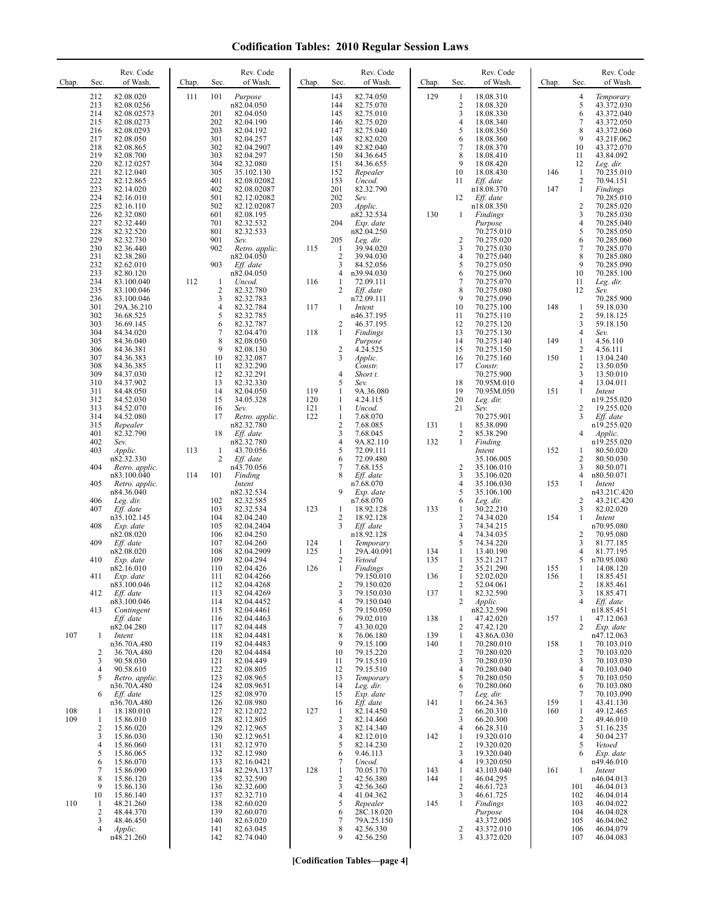| Chap.      | Sec.                                                                                    | Rev. Code<br>of Wash.                                                                                                                                          | Chap.      | Sec.                                                                      | Rev. Code<br>of Wash.                                                                                                                                         | Chap.                    | Sec.                                                                             | Rev. Code<br>of Wash.                                                                                                                                | Chap.                    | Sec.                                                                                        | Rev. Code<br>of Wash.                                                                                                                                     | Chap.             | Sec.                                                                                 | Rev. Code<br>of Wash.                                                                                                                                          |
|------------|-----------------------------------------------------------------------------------------|----------------------------------------------------------------------------------------------------------------------------------------------------------------|------------|---------------------------------------------------------------------------|---------------------------------------------------------------------------------------------------------------------------------------------------------------|--------------------------|----------------------------------------------------------------------------------|------------------------------------------------------------------------------------------------------------------------------------------------------|--------------------------|---------------------------------------------------------------------------------------------|-----------------------------------------------------------------------------------------------------------------------------------------------------------|-------------------|--------------------------------------------------------------------------------------|----------------------------------------------------------------------------------------------------------------------------------------------------------------|
|            | 212<br>213<br>214<br>215<br>216<br>217<br>218<br>219<br>220<br>221<br>222<br>223        | 82.08.020<br>82.08.0256<br>82.08.02573<br>82.08.0273<br>82.08.0293<br>82.08.050<br>82.08.865<br>82.08.700<br>82.12.0257<br>82.12.040<br>82.12.865<br>82.14.020 | 111        | 101<br>201<br>202<br>203<br>301<br>302<br>303<br>304<br>305<br>401<br>402 | Purpose<br>n82.04.050<br>82.04.050<br>82.04.190<br>82.04.192<br>82.04.257<br>82.04.2907<br>82.04.297<br>82.32.080<br>35.102.130<br>82.08.02082<br>82.08.02087 |                          | 143<br>144<br>145<br>146<br>147<br>148<br>149<br>150<br>151<br>152<br>153<br>201 | 82.74.050<br>82.75.070<br>82.75.010<br>82.75.020<br>82.75.040<br>82.82.020<br>82.82.040<br>84.36.645<br>84.36.655<br>Repealer<br>Uncod.<br>82.32.790 | 129                      | 1<br>$\overline{c}$<br>3<br>4<br>5<br>6<br>$\overline{7}$<br>8<br>9<br>10<br>11             | 18.08.310<br>18.08.320<br>18.08.330<br>18.08.340<br>18.08.350<br>18.08.360<br>18.08.370<br>18.08.410<br>18.08.420<br>18.08.430<br>Eff. date<br>n18.08.370 | 146<br>147        | 4<br>5<br>6<br>7<br>8<br>9<br>10<br>11<br>12<br>-1<br>$\overline{c}$<br>$\mathbf{1}$ | Temporary<br>43.372.030<br>43.372.040<br>43.372.050<br>43.372.060<br>43.21F.062<br>43.372.070<br>43.84.092<br>Leg. dir.<br>70.235.010<br>70.94.151<br>Findings |
|            | 224<br>225<br>226<br>227<br>228<br>229<br>230<br>231<br>232<br>233                      | 82.16.010<br>82.16.110<br>82.32.080<br>82.32.440<br>82.32.520<br>82.32.730<br>82.36.440<br>82.38.280<br>82.62.010<br>82.80.120                                 |            | 501<br>502<br>601<br>701<br>801<br>901<br>902<br>903                      | 82.12.02082<br>82.12.02087<br>82.08.195<br>82.32.532<br>82.32.533<br>Sev.<br>Retro. applic.<br>n82.04.050<br>Eff. date<br>n82.04.050                          | 115                      | 202<br>203<br>204<br>205<br>1<br>$\overline{2}$<br>3<br>4                        | Sev.<br>Applic.<br>n82.32.534<br>Exp. date<br>n82.04.250<br>Leg. dir.<br>39.94.020<br>39.94.030<br>84.52.056<br>n39.94.030                           | 130                      | 12<br>1<br>$\overline{c}$<br>3<br>$\overline{4}$<br>5<br>6                                  | Eff. date<br>n18.08.350<br>Findings<br>Purpose<br>70.275.010<br>70.275.020<br>70.275.030<br>70.275.040<br>70.275.050<br>70.275.060                        |                   | 2<br>3<br>4<br>5<br>6<br>$\tau$<br>8<br>9<br>10                                      | 70.285.010<br>70.285.020<br>70.285.030<br>70.285.040<br>70.285.050<br>70.285.060<br>70.285.070<br>70.285.080<br>70.285.090<br>70.285.100                       |
|            | 234<br>235<br>236<br>301<br>302<br>303<br>304<br>305<br>306                             | 83.100.040<br>83.100.046<br>83.100.046<br>29A.36.210<br>36.68.525<br>36.69.145<br>84.34.020<br>84.36.040<br>84.36.381                                          | 112        | -1<br>2<br>3<br>4<br>5<br>6<br>7<br>8<br>9                                | Uncod.<br>82.32.780<br>82.32.783<br>82.32.784<br>82.32.785<br>82.32.787<br>82.04.470<br>82.08.050<br>82.08.130                                                | 116<br>117<br>118        | 1<br>2<br>1<br>2<br>$\mathbf{1}$<br>$\overline{c}$                               | 72.09.111<br>Eff. date<br>n72.09.111<br>Intent<br>n46.37.195<br>46.37.195<br>Findings<br>Purpose<br>4.24.525                                         |                          | $\overline{7}$<br>8<br>9<br>10<br>11<br>12<br>13<br>14<br>15                                | 70.275.070<br>70.275.080<br>70.275.090<br>70.275.100<br>70.275.110<br>70.275.120<br>70.275.130<br>70.275.140<br>70.275.150                                | 148<br>149        | 11<br>12<br>1<br>2<br>3<br>4<br>1<br>$\overline{c}$                                  | Leg. dir.<br>Sev.<br>70.285.900<br>59.18.030<br>59.18.125<br>59.18.150<br>Sev.<br>4.56.110<br>4.56.111                                                         |
|            | 307<br>308<br>309<br>310<br>311<br>312<br>313<br>314                                    | 84.36.383<br>84.36.385<br>84.37.030<br>84.37.902<br>84.48.050<br>84.52.030<br>84.52.070<br>84.52.080                                                           |            | 10<br>11<br>12<br>13<br>14<br>15<br>16<br>17                              | 82.32.087<br>82.32.290<br>82.32.291<br>82.32.330<br>82.04.050<br>34.05.328<br>Sev.<br>Retro. applic.                                                          | 119<br>120<br>121<br>122 | 3<br>4<br>5<br>1<br>1<br>1<br>1                                                  | Applic.<br>Constr.<br>Short t.<br>Sev.<br>9A.36.080<br>4.24.115<br>Uncod.<br>7.68.070                                                                |                          | 16<br>17<br>18<br>19<br>20<br>21                                                            | 70.275.160<br>Constr.<br>70.275.900<br>70.95M.010<br>70.95M.050<br>Leg. dir.<br>Sev.<br>70.275.901                                                        | 150<br>151        | $\mathbf{1}$<br>2<br>3<br>4<br>1<br>2<br>3                                           | 13.04.240<br>13.50.050<br>13.50.010<br>13.04.011<br>Intent<br>n19.255.020<br>19.255.020<br>Eff. date                                                           |
|            | 315<br>401<br>402<br>403<br>404<br>405                                                  | Repealer<br>82.32.790<br>Sev.<br>Applic.<br>n82.32.330<br>Retro. applic.<br>n83.100.040<br>Retro. applic.                                                      | 113<br>114 | 18<br>1<br>2<br>101                                                       | n82.32.780<br>Eff. date<br>n82.32.780<br>43.70.056<br>Eff. date<br>n43.70.056<br>Finding<br>Intent                                                            |                          | $\overline{2}$<br>3<br>4<br>5<br>6<br>7<br>8                                     | 7.68.085<br>7.68.045<br>9A.82.110<br>72.09.111<br>72.09.480<br>7.68.155<br>Eff. date<br>n7.68.070                                                    | 131<br>132               | 1<br>$\overline{c}$<br>1<br>$\overline{c}$<br>3<br>$\overline{4}$                           | 85.38.090<br>85.38.290<br>Finding<br>Intent<br>35.106.005<br>35.106.010<br>35.106.020<br>35.106.030                                                       | 152<br>153        | 4<br>1<br>2<br>3<br>4<br>1                                                           | n19.255.020<br><i>Applic.</i><br>n19.255.020<br>80.50.020<br>80.50.030<br>80.50.071<br>n80.50.071<br>Intent                                                    |
|            | 406<br>407<br>408<br>409                                                                | n84.36.040<br>Leg. dir.<br>Eff. date<br>n35.102.145<br>Exp. date<br>n82.08.020<br>Eff. date<br>n82.08.020                                                      |            | 102<br>103<br>104<br>105<br>106<br>107<br>108                             | n82.32.534<br>82.32.585<br>82.32.534<br>82.04.240<br>82.04.2404<br>82.04.250<br>82.04.260<br>82.04.2909                                                       | 123<br>124<br>125        | 9<br>1<br>2<br>3<br>1<br>$\mathbf{1}$                                            | Exp. date<br>n7.68.070<br>18.92.128<br>18.92.128<br>Eff. date<br>n18.92.128<br>Temporary<br>29A.40.091                                               | 133<br>134               | 5<br>6<br>1<br>$\overline{2}$<br>3<br>$\overline{4}$<br>5<br>1                              | 35.106.100<br>Leg. dir.<br>30.22.210<br>74.34.020<br>74.34.215<br>74.34.035<br>74.34.220<br>13.40.190                                                     | 154               | $\overline{2}$<br>3<br>1<br>2<br>3<br>4                                              | n43.21C.420<br>43.21C.420<br>82.02.020<br>Intent<br>n70.95.080<br>70.95.080<br>81.77.185<br>81.77.195                                                          |
|            | 410<br>411<br>412<br>413                                                                | Exp. date<br>n82.16.010<br>Exp. date<br>n83.100.046<br>Eff. date<br>n83.100.046<br>Contingent<br>Eff. date                                                     |            | 109<br>110<br>111<br>112<br>113<br>114<br>115<br>116                      | 82.04.294<br>82.04.426<br>82.04.4266<br>82.04.4268<br>82.04.4269<br>82.04.4452<br>82.04.4461<br>82.04.4463                                                    | 126                      | 2<br>1<br>2<br>3<br>4<br>5<br>6                                                  | Vetoed<br>Findings<br>79.150.010<br>79.150.020<br>79.150.030<br>79.150.040<br>79.150.050<br>79.02.010                                                | 135<br>136<br>137<br>138 | 1<br>2<br>2<br>1<br>2<br>1                                                                  | 35.21.217<br>35.21.290<br>52.02.020<br>52.04.061<br>82.32.590<br>Applic.<br>n82.32.590<br>47.42.020                                                       | 155<br>156<br>157 | 5<br>1<br>2<br>3<br>4<br>1                                                           | n70.95.080<br>14.08.120<br>18.85.451<br>18.85.461<br>18.85.471<br>$Eff.$ date<br>n18.85.451<br>47.12.063                                                       |
| 107        | $\mathbf{1}$<br>2<br>3<br>$\overline{4}$<br>5<br>6                                      | n82.04.280<br>Intent<br>n36.70A.480<br>36.70A.480<br>90.58.030<br>90.58.610<br>Retro. applic.<br>n36.70A.480<br>Eff. date                                      |            | 117<br>118<br>119<br>120<br>121<br>122<br>123<br>124<br>125               | 82.04.448<br>82.04.4481<br>82.04.4483<br>82.04.4484<br>82.04.449<br>82.08.805<br>82.08.965<br>82.08.9651<br>82.08.970                                         |                          | 7<br>8<br>9<br>10<br>11<br>12<br>13<br>14<br>15                                  | 43.30.020<br>76.06.180<br>79.15.100<br>79.15.220<br>79.15.510<br>79.15.510<br>Temporary<br>Leg. dir.<br>Exp. date                                    | 139<br>140               | $\overline{2}$<br>$\mathbf{1}$<br>1<br>$\overline{c}$<br>3<br>$\overline{4}$<br>5<br>6<br>7 | 47.42.120<br>43.86A.030<br>70.280.010<br>70.280.020<br>70.280.030<br>70.280.040<br>70.280.050<br>70.280.060<br>Leg. dir.                                  | 158               | 2<br>1<br>2<br>3<br>4<br>5<br>6<br>7                                                 | Exp. date<br>n47.12.063<br>70.103.010<br>70.103.020<br>70.103.030<br>70.103.040<br>70.103.050<br>70.103.080<br>70.103.090                                      |
| 108<br>109 | 1<br>1<br>$\overline{2}$<br>3<br>$\overline{4}$<br>5<br>6                               | n36.70A.480<br>18.180.010<br>15.86.010<br>15.86.020<br>15.86.030<br>15.86.060<br>15.86.065<br>15.86.070                                                        |            | 126<br>127<br>128<br>129<br>130<br>131<br>132<br>133                      | 82.08.980<br>82.12.022<br>82.12.805<br>82.12.965<br>82.12.9651<br>82.12.970<br>82.12.980<br>82.16.0421                                                        | 127                      | 16<br>1<br>2<br>3<br>4<br>5<br>6<br>7                                            | Eff. date<br>82.14.450<br>82.14.460<br>82.14.340<br>82.12.010<br>82.14.230<br>9.46.113<br>Uncod.                                                     | 141<br>142               | 1<br>$\overline{2}$<br>3<br>$\overline{4}$<br>1<br>$\overline{2}$<br>3<br>$\overline{4}$    | 66.24.363<br>66.20.310<br>66.20.300<br>66.28.310<br>19.320.010<br>19.320.020<br>19.320.040<br>19.320.050                                                  | 159<br>160        | 1<br>$\mathbf{1}$<br>2<br>3<br>4<br>5<br>6                                           | 43.41.130<br>49.12.465<br>49.46.010<br>51.16.235<br>50.04.237<br>Vetoed<br>Exp. date<br>n49.46.010                                                             |
| 110        | $\overline{7}$<br>8<br>9<br>10<br>$\mathbf{1}$<br>$\overline{2}$<br>3<br>$\overline{4}$ | 15.86.090<br>15.86.120<br>15.86.130<br>15.86.140<br>48.21.260<br>48.44.370<br>48.46.450<br>Applic.<br>n48.21.260                                               |            | 134<br>135<br>136<br>137<br>138<br>139<br>140<br>141<br>142               | 82.29A.137<br>82.32.590<br>82.32.600<br>82.32.710<br>82.60.020<br>82.60.070<br>82.63.020<br>82.63.045<br>82.74.040                                            | 128                      | 1<br>2<br>3<br>4<br>5<br>6<br>7<br>8<br>9                                        | 70.05.170<br>42.56.380<br>42.56.360<br>41.04.362<br>Repealer<br>28C.18.020<br>79A.25.150<br>42.56.330<br>42.56.250                                   | 143<br>144<br>145        | 1<br>1<br>$\overline{2}$<br>3<br>$\mathbf{1}$<br>2<br>3                                     | 43.103.040<br>46.04.295<br>46.61.723<br>46.61.725<br>Findings<br>Purpose<br>43.372.005<br>43.372.010<br>43.372.020                                        | 161               | 1<br>101<br>102<br>103<br>104<br>105<br>106<br>107                                   | Intent<br>n46.04.013<br>46.04.013<br>46.04.014<br>46.04.022<br>46.04.028<br>46.04.062<br>46.04.079<br>46.04.083                                                |

**[Codification Tables—page 4]**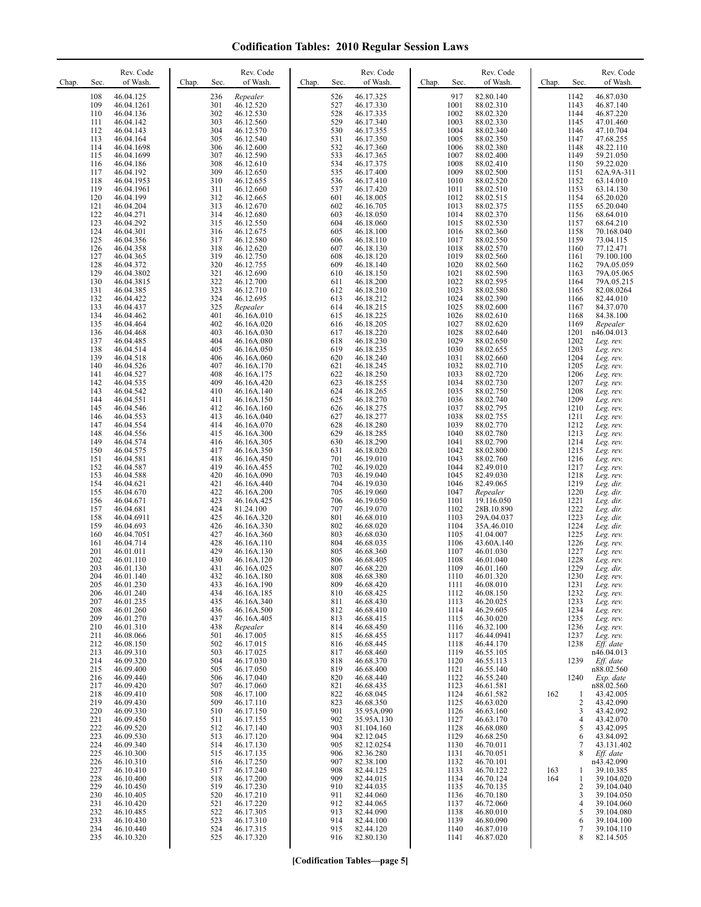| Chap.                                                                                                                                                                                                                                                                                                                                                                                                                                                                                                                       | Rev. Code<br>of Wash.<br>Sec.                                                                                                                                                                                                                                                                                                                                                                                                                                                                                                                                                                                                                                                                                                                                                                                                                                                                                                                                                              | Rev. Code<br>of Wash.<br>Chap.<br>Sec.                                                                                                                                                                                                                                                                                                                                                                                                                                                                                                                                                                                                                                                                                                                                                                                                                                                                                                                                                                                                                                                                                                                                                                                                                                                                                                                                                                                                                                                                                                            | Rev. Code<br>of Wash.<br>Chap.<br>Sec.                                                                                                                                                                                                                                                                                                                                                                                                                                                                                                                                                                                                                                                                                                                                                                                                                                                                                                                                                                                                                                                                                                                                                                                                                                                                                                                                                                                                                                                                           | Rev. Code<br>of Wash.<br>Chap.<br>Sec.                                                                                                                                                                                                                                                                                                                                                                                                                                                                                                                                                                                                                                                                                                                                                                                                                                                                                                                                                                                                                                                                                                                                                                                                                                                                                                                                                                                                                                                                                                                                                        | Rev. Code<br>of Wash.<br>Chap.<br>Sec.                                                                                                                                                                                                                                                                                                                                                                                                                                                                                                                                                                                                                                                                                                                                                                                                                                                                                                                                                                                                                                                                                                                                                                                                                                                                                                                                                                                                                                                                                                                                   |
|-----------------------------------------------------------------------------------------------------------------------------------------------------------------------------------------------------------------------------------------------------------------------------------------------------------------------------------------------------------------------------------------------------------------------------------------------------------------------------------------------------------------------------|--------------------------------------------------------------------------------------------------------------------------------------------------------------------------------------------------------------------------------------------------------------------------------------------------------------------------------------------------------------------------------------------------------------------------------------------------------------------------------------------------------------------------------------------------------------------------------------------------------------------------------------------------------------------------------------------------------------------------------------------------------------------------------------------------------------------------------------------------------------------------------------------------------------------------------------------------------------------------------------------|---------------------------------------------------------------------------------------------------------------------------------------------------------------------------------------------------------------------------------------------------------------------------------------------------------------------------------------------------------------------------------------------------------------------------------------------------------------------------------------------------------------------------------------------------------------------------------------------------------------------------------------------------------------------------------------------------------------------------------------------------------------------------------------------------------------------------------------------------------------------------------------------------------------------------------------------------------------------------------------------------------------------------------------------------------------------------------------------------------------------------------------------------------------------------------------------------------------------------------------------------------------------------------------------------------------------------------------------------------------------------------------------------------------------------------------------------------------------------------------------------------------------------------------------------|------------------------------------------------------------------------------------------------------------------------------------------------------------------------------------------------------------------------------------------------------------------------------------------------------------------------------------------------------------------------------------------------------------------------------------------------------------------------------------------------------------------------------------------------------------------------------------------------------------------------------------------------------------------------------------------------------------------------------------------------------------------------------------------------------------------------------------------------------------------------------------------------------------------------------------------------------------------------------------------------------------------------------------------------------------------------------------------------------------------------------------------------------------------------------------------------------------------------------------------------------------------------------------------------------------------------------------------------------------------------------------------------------------------------------------------------------------------------------------------------------------------|-----------------------------------------------------------------------------------------------------------------------------------------------------------------------------------------------------------------------------------------------------------------------------------------------------------------------------------------------------------------------------------------------------------------------------------------------------------------------------------------------------------------------------------------------------------------------------------------------------------------------------------------------------------------------------------------------------------------------------------------------------------------------------------------------------------------------------------------------------------------------------------------------------------------------------------------------------------------------------------------------------------------------------------------------------------------------------------------------------------------------------------------------------------------------------------------------------------------------------------------------------------------------------------------------------------------------------------------------------------------------------------------------------------------------------------------------------------------------------------------------------------------------------------------------------------------------------------------------|--------------------------------------------------------------------------------------------------------------------------------------------------------------------------------------------------------------------------------------------------------------------------------------------------------------------------------------------------------------------------------------------------------------------------------------------------------------------------------------------------------------------------------------------------------------------------------------------------------------------------------------------------------------------------------------------------------------------------------------------------------------------------------------------------------------------------------------------------------------------------------------------------------------------------------------------------------------------------------------------------------------------------------------------------------------------------------------------------------------------------------------------------------------------------------------------------------------------------------------------------------------------------------------------------------------------------------------------------------------------------------------------------------------------------------------------------------------------------------------------------------------------------------------------------------------------------|
| 108<br>109<br>110<br>111<br>112<br>113<br>114<br>115<br>116<br>117<br>118<br>119<br>120<br>121<br>122<br>123<br>124<br>125<br>126<br>127<br>128<br>129<br>130<br>131<br>132<br>133<br>134<br>135<br>136<br>137<br>138<br>139<br>140<br>141<br>142<br>143<br>144<br>145<br>146<br>147<br>148<br>149<br>150<br>151<br>152<br>153<br>154<br>155<br>156<br>157<br>158<br>159<br>160<br>161<br>201<br>202<br>203<br>204<br>205<br>206<br>207<br>208<br>209<br>210<br>211<br>212<br>213<br>214<br>215<br>216<br>217<br>218<br>219 | 46.04.125<br>46.04.1261<br>46.04.136<br>46.04.142<br>46.04.143<br>46.04.164<br>46.04.1698<br>46.04.1699<br>46.04.186<br>46.04.192<br>46.04.1953<br>46.04.1961<br>46.04.199<br>46.04.204<br>46.04.271<br>46.04.292<br>46.04.301<br>46.04.356<br>46.04.358<br>46.04.365<br>46.04.372<br>46.04.3802<br>46.04.3815<br>46.04.385<br>46.04.422<br>46.04.437<br>46.04.462<br>46.04.464<br>46.04.468<br>46.04.485<br>46.04.514<br>46.04.518<br>46.04.526<br>46.04.527<br>46.04.535<br>46.04.542<br>46.04.551<br>46.04.546<br>46.04.553<br>46.04.554<br>46.04.556<br>46.04.574<br>46.04.575<br>46.04.581<br>46.04.587<br>46.04.588<br>46.04.621<br>46.04.670<br>46.04.671<br>46.04.681<br>46.04.6911<br>46.04.693<br>46.04.7051<br>46.04.714<br>46.01.011<br>46.01.110<br>46.01.130<br>46.01.140<br>46.01.230<br>46.01.240<br>46.01.235<br>46.01.260<br>46.01.270<br>46.01.310<br>46.08.066<br>46.08.150<br>46.09.310<br>46.09.320<br>46.09.400<br>46.09.440<br>46.09.420<br>46.09.410<br>46.09.430 | 236<br>Repealer<br>301<br>46.12.520<br>302<br>46.12.530<br>303<br>46.12.560<br>304<br>46.12.570<br>305<br>46.12.540<br>306<br>46.12.600<br>307<br>46.12.590<br>308<br>46.12.610<br>309<br>46.12.650<br>310<br>46.12.655<br>311<br>46.12.660<br>312<br>46.12.665<br>313<br>46.12.670<br>46.12.680<br>314<br>315<br>46.12.550<br>316<br>46.12.675<br>317<br>46.12.580<br>318<br>46.12.620<br>319<br>46.12.750<br>320<br>46.12.755<br>321<br>46.12.690<br>322<br>46.12.700<br>323<br>46.12.710<br>324<br>46.12.695<br>325<br>Repealer<br>401<br>46.16A.010<br>402<br>46.16A.020<br>403<br>46.16A.030<br>404<br>46.16A.080<br>405<br>46.16A.050<br>406<br>46.16A.060<br>407<br>46.16A.170<br>408<br>46.16A.175<br>409<br>46.16A.420<br>410<br>46.16A.140<br>411<br>46.16A.150<br>412<br>46.16A.160<br>413<br>46.16A.040<br>414<br>46.16A.070<br>415<br>46.16A.300<br>416<br>46.16A.305<br>417<br>46.16A.350<br>418<br>46.16A.450<br>419<br>46.16A.455<br>420<br>46.16A.090<br>421<br>46.16A.440<br>422<br>46.16A.200<br>423<br>46.16A.425<br>424<br>81.24.100<br>425<br>46.16A.320<br>426<br>46.16A.330<br>427<br>46.16A.360<br>428<br>46.16A.110<br>429<br>46.16A.130<br>430<br>46.16A.120<br>431<br>46.16A.025<br>432<br>46.16A.180<br>433<br>46.16A.190<br>434<br>46.16A.185<br>435<br>46.16A.340<br>46.16A.500<br>436<br>437<br>46.16A.405<br>438<br>Repealer<br>501<br>46.17.005<br>502<br>46.17.015<br>503<br>46.17.025<br>504<br>46.17.030<br>505<br>46.17.050<br>506<br>46.17.040<br>46.17.060<br>507<br>508<br>46.17.100<br>509<br>46.17.110 | 46.17.325<br>526<br>527<br>46.17.330<br>528<br>46.17.335<br>529<br>46.17.340<br>530<br>46.17.355<br>531<br>46.17.350<br>532<br>46.17.360<br>533<br>46.17.365<br>534<br>46.17.375<br>535<br>46.17.400<br>536<br>46.17.410<br>537<br>46.17.420<br>601<br>46.18.005<br>602<br>46.16.705<br>603<br>46.18.050<br>604<br>46.18.060<br>605<br>46.18.100<br>606<br>46.18.110<br>607<br>46.18.130<br>608<br>46.18.120<br>609<br>46.18.140<br>610<br>46.18.150<br>611<br>46.18.200<br>612<br>46.18.210<br>613<br>46.18.212<br>46.18.215<br>614<br>615<br>46.18.225<br>616<br>46.18.205<br>617<br>46.18.220<br>618<br>46.18.230<br>619<br>46.18.235<br>620<br>46.18.240<br>621<br>46.18.245<br>622<br>46.18.250<br>623<br>46.18.255<br>624<br>46.18.265<br>625<br>46.18.270<br>626<br>46.18.275<br>627<br>46.18.277<br>628<br>46.18.280<br>629<br>46.18.285<br>630<br>46.18.290<br>631<br>46.18.020<br>701<br>46.19.010<br>702<br>46.19.020<br>703<br>46.19.040<br>704<br>46.19.030<br>705<br>46.19.060<br>706<br>46.19.050<br>707<br>46.19.070<br>801<br>46.68.010<br>802<br>46.68.020<br>803<br>46.68.030<br>804<br>46.68.035<br>805<br>46.68.360<br>806<br>46.68.405<br>807<br>46.68.220<br>808<br>46.68.380<br>809<br>46.68.420<br>46.68.425<br>810<br>46.68.430<br>811<br>812<br>46.68.410<br>813<br>46.68.415<br>46.68.450<br>814<br>815<br>46.68.455<br>46.68.445<br>816<br>817<br>46.68.460<br>46.68.370<br>818<br>819<br>46.68.400<br>820<br>46.68.440<br>821<br>46.68.435<br>822<br>46.68.045<br>823<br>46.68.350 | 917<br>82.80.140<br>1001<br>88.02.310<br>1002<br>88.02.320<br>1003<br>88.02.330<br>1004<br>88.02.340<br>1005<br>88.02.350<br>1006<br>88.02.380<br>1007<br>88.02.400<br>1008<br>88.02.410<br>1009<br>88.02.500<br>1010<br>88.02.520<br>1011<br>88.02.510<br>1012<br>88.02.515<br>1013<br>88.02.375<br>1014<br>88.02.370<br>1015<br>88.02.530<br>1016<br>88.02.360<br>1017<br>88.02.550<br>1018<br>88.02.570<br>1019<br>88.02.560<br>1020<br>88.02.560<br>1021<br>88.02.590<br>1022<br>88.02.595<br>1023<br>88.02.580<br>1024<br>88.02.390<br>1025<br>88.02.600<br>1026<br>88.02.610<br>1027<br>88.02.620<br>1028<br>88.02.640<br>1029<br>88.02.650<br>1030<br>88.02.655<br>1031<br>88.02.660<br>1032<br>88.02.710<br>1033<br>88.02.720<br>1034<br>88.02.730<br>1035<br>88.02.750<br>1036<br>88.02.740<br>88.02.795<br>1037<br>1038<br>88.02.755<br>1039<br>88.02.770<br>1040<br>88.02.780<br>1041<br>88.02.790<br>1042<br>88.02.800<br>1043<br>88.02.760<br>1044<br>82.49.010<br>1045<br>82.49.030<br>1046<br>82.49.065<br>1047<br>Repealer<br>1101<br>19.116.050<br>1102<br>28B.10.890<br>1103<br>29A.04.037<br>1104<br>35A.46.010<br>1105<br>41.04.007<br>1106<br>43.60A.140<br>1107<br>46.01.030<br>1108<br>46.01.040<br>1109<br>46.01.160<br>1110<br>46.01.320<br>46.08.010<br>1111<br>46.08.150<br>1112<br>46.20.025<br>1113<br>1114<br>46.29.605<br>46.30.020<br>1115<br>46.32.100<br>1116<br>46.44.0941<br>1117<br>1118<br>46.44.170<br>1119<br>46.55.105<br>1120<br>46.55.113<br>46.55.140<br>1121<br>1122<br>46.55.240<br>1123<br>46.61.581<br>1124<br>46.61.582<br>46.63.020<br>1125 | 46.87.030<br>1142<br>1143<br>46.87.140<br>1144<br>46.87.220<br>1145<br>47.01.460<br>1146<br>47.10.704<br>47.68.255<br>1147<br>48.22.110<br>1148<br>1149<br>59.21.050<br>1150<br>59.22.020<br>1151<br>62A.9A-311<br>1152<br>63.14.010<br>1153<br>63.14.130<br>1154<br>65.20.020<br>1155<br>65.20.040<br>1156<br>68.64.010<br>1157<br>68.64.210<br>1158<br>70.168.040<br>1159<br>73.04.115<br>1160<br>77.12.471<br>1161<br>79.100.100<br>1162<br>79A.05.059<br>1163<br>79A.05.065<br>1164<br>79A.05.215<br>1165<br>82.08.0264<br>1166<br>82.44.010<br>1167<br>84.37.070<br>1168<br>84.38.100<br>1169<br>Repealer<br>1201<br>n46.04.013<br>1202<br>Leg. rev.<br>1203<br>Leg. rev.<br>1204<br>Leg. rev.<br>1205<br>Leg. rev.<br>1206<br>Leg. rev.<br>1207<br>Leg. rev.<br>1208<br>Leg. rev.<br>1209<br>Leg. rev.<br>1210<br>Leg. rev.<br>1211<br>Leg. rev.<br>1212<br>Leg. rev.<br>1213<br>Leg. rev.<br>1214<br>Leg. rev.<br>1215<br>Leg. rev.<br>1216<br>Leg. rev.<br>1217<br>Leg. rev.<br>1218<br>Leg. rev.<br>1219<br>Leg. dir.<br>1220<br>Leg. dir.<br>1221<br>Leg. dir.<br>1222<br>Leg. dir.<br>1223<br>Leg. dir.<br>1224<br>Leg. dir.<br>1225<br>Leg. rev.<br>1226<br>Leg. rev.<br>1227<br>Leg. rev.<br>1228<br>Leg. rev.<br>1229<br>Leg. dir.<br>1230<br>Leg. rev.<br>1231<br>Leg. rev.<br>1232<br>Leg. rev.<br>1233<br>Leg. rev.<br>1234<br>Leg. rev.<br>1235<br>Leg. rev.<br>1236<br>Leg. rev.<br>1237<br>Leg. rev.<br>1238<br>Eff. date<br>n46.04.013<br>1239<br>Eff. date<br>n88.02.560<br>1240<br>Exp. date<br>n88.02.560<br>162<br>43.42.005<br>-1<br>43.42.090 |
| 220<br>221<br>222<br>223<br>224<br>225<br>226<br>227<br>228<br>229<br>230<br>231<br>232<br>233<br>234<br>235                                                                                                                                                                                                                                                                                                                                                                                                                | 46.09.330<br>46.09.450<br>46.09.520<br>46.09.530<br>46.09.340<br>46.10.300<br>46.10.310<br>46.10.410<br>46.10.400<br>46.10.450<br>46.10.405<br>46.10.420<br>46.10.485<br>46.10.430<br>46.10.440<br>46.10.320                                                                                                                                                                                                                                                                                                                                                                                                                                                                                                                                                                                                                                                                                                                                                                               | 510<br>46.17.150<br>46.17.155<br>511<br>46.17.140<br>512<br>513<br>46.17.120<br>46.17.130<br>514<br>515<br>46.17.135<br>516<br>46.17.250<br>517<br>46.17.240<br>518<br>46.17.200<br>519<br>46.17.230<br>520<br>46.17.210<br>521<br>46.17.220<br>522<br>46.17.305<br>523<br>46.17.310<br>524<br>46.17.315<br>525<br>46.17.320                                                                                                                                                                                                                                                                                                                                                                                                                                                                                                                                                                                                                                                                                                                                                                                                                                                                                                                                                                                                                                                                                                                                                                                                                      | 901<br>35.95A.090<br>902<br>35.95A.130<br>903<br>81.104.160<br>904<br>82.12.045<br>905<br>82.12.0254<br>906<br>82.36.280<br>907<br>82.38.100<br>908<br>82.44.125<br>909<br>82.44.015<br>910<br>82.44.035<br>82.44.060<br>911<br>912<br>82.44.065<br>913<br>82.44.090<br>914<br>82.44.100<br>915<br>82.44.120<br>916<br>82.80.130                                                                                                                                                                                                                                                                                                                                                                                                                                                                                                                                                                                                                                                                                                                                                                                                                                                                                                                                                                                                                                                                                                                                                                                 | 1126<br>46.63.160<br>1127<br>46.63.170<br>1128<br>46.68.080<br>1129<br>46.68.250<br>46.70.011<br>1130<br>1131<br>46.70.051<br>1132<br>46.70.101<br>1133<br>46.70.122<br>46.70.124<br>1134<br>1135<br>46.70.135<br>1136<br>46.70.180<br>1137<br>46.72.060<br>46.80.010<br>1138<br>1139<br>46.80.090<br>1140<br>46.87.010<br>1141<br>46.87.020                                                                                                                                                                                                                                                                                                                                                                                                                                                                                                                                                                                                                                                                                                                                                                                                                                                                                                                                                                                                                                                                                                                                                                                                                                                  | $\frac{2}{3}$<br>43.42.092<br>4<br>43.42.070<br>5<br>43.42.095<br>6<br>43.84.092<br>7<br>43.131.402<br>8<br>Eff. date<br>n43.42.090<br>163<br>39.10.385<br>1<br>164<br>39.104.020<br>1<br>2<br>39.104.040<br>3<br>39.104.050<br>$\overline{4}$<br>39.104.060<br>5<br>39.104.080<br>6<br>39.104.100<br>7<br>39.104.110<br>8<br>82.14.505                                                                                                                                                                                                                                                                                                                                                                                                                                                                                                                                                                                                                                                                                                                                                                                                                                                                                                                                                                                                                                                                                                                                                                                                                                  |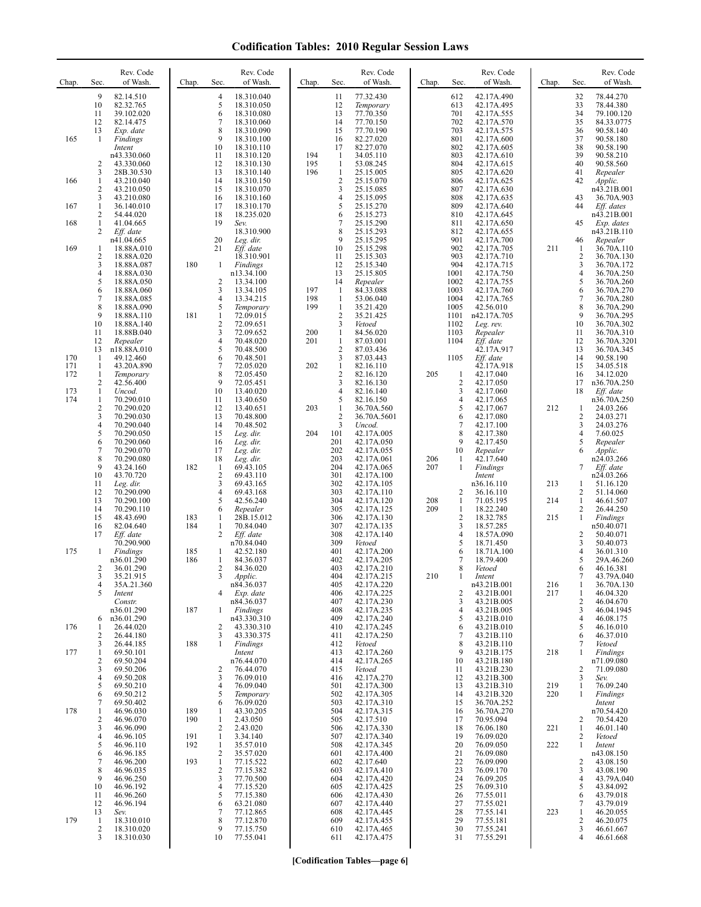| Chap.             | Sec.                                                                                                      | Rev. Code<br>of Wash.                                                                                                                                                                                                | Chap.                           | Rev. Code<br>of Wash.<br>Sec.                                                                                                                                                                                                                                                                                                                           | Chap.                                  | Sec.                                                                                                                                                            | Rev. Code<br>of Wash.                                                                                                                                                                                                                    | Chap.             | Sec.                                                                                                  | Rev. Code<br>of Wash.                                                                                                                                                                                                          | Chap.                           | Sec.                                                                                                  | Rev. Code<br>of Wash.                                                                                                                                                                                         |
|-------------------|-----------------------------------------------------------------------------------------------------------|----------------------------------------------------------------------------------------------------------------------------------------------------------------------------------------------------------------------|---------------------------------|---------------------------------------------------------------------------------------------------------------------------------------------------------------------------------------------------------------------------------------------------------------------------------------------------------------------------------------------------------|----------------------------------------|-----------------------------------------------------------------------------------------------------------------------------------------------------------------|------------------------------------------------------------------------------------------------------------------------------------------------------------------------------------------------------------------------------------------|-------------------|-------------------------------------------------------------------------------------------------------|--------------------------------------------------------------------------------------------------------------------------------------------------------------------------------------------------------------------------------|---------------------------------|-------------------------------------------------------------------------------------------------------|---------------------------------------------------------------------------------------------------------------------------------------------------------------------------------------------------------------|
| 165               | 9<br>10<br>11<br>12<br>13<br>1<br>2                                                                       | 82.14.510<br>82.32.765<br>39.102.020<br>82.14.475<br>Exp. date<br><b>Findings</b><br>Intent<br>n43.330.060<br>43.330.060                                                                                             |                                 | 18.310.040<br>4<br>5<br>18.310.050<br>6<br>18.310.080<br>$\overline{7}$<br>18.310.060<br>8<br>18.310.090<br>9<br>18.310.100<br>10<br>18.310.110<br>11<br>18.310.120<br>12<br>18.310.130                                                                                                                                                                 | 194<br>195                             | 11<br>12<br>13<br>14<br>15<br>16<br>17<br>-1<br>$\mathbf{1}$                                                                                                    | 77.32.430<br>Temporary<br>77.70.350<br>77.70.150<br>77.70.190<br>82.27.020<br>82.27.070<br>34.05.110<br>53.08.245                                                                                                                        |                   | 612<br>613<br>701<br>702<br>703<br>801<br>802<br>803<br>804                                           | 42.17A.490<br>42.17A.495<br>42.17A.555<br>42.17A.570<br>42.17A.575<br>42.17A.600<br>42.17A.605<br>42.17A.610<br>42.17A.615                                                                                                     |                                 | 32<br>33<br>34<br>35<br>36<br>37<br>38<br>39<br>40                                                    | 78.44.270<br>78.44.380<br>79.100.120<br>84.33.0775<br>90.58.140<br>90.58.180<br>90.58.190<br>90.58.210<br>90.58.560                                                                                           |
| 166               | 3<br>$\mathbf{1}$<br>2                                                                                    | 28B.30.530<br>43.210.040<br>43.210.050                                                                                                                                                                               |                                 | 13<br>18.310.140<br>14<br>18.310.150<br>15<br>18.310.070                                                                                                                                                                                                                                                                                                | 196                                    | $\mathbf{1}$<br>$\sqrt{2}$<br>3                                                                                                                                 | 25.15.005<br>25.15.070<br>25.15.085                                                                                                                                                                                                      |                   | 805<br>806<br>807                                                                                     | 42.17A.620<br>42.17A.625<br>42.17A.630                                                                                                                                                                                         |                                 | 41<br>42                                                                                              | Repealer<br>Applic.<br>n43.21B.001                                                                                                                                                                            |
| 167<br>168        | 3<br>1<br>2<br>1                                                                                          | 43.210.080<br>36.140.010<br>54.44.020<br>41.04.665                                                                                                                                                                   |                                 | 16<br>18.310.160<br>17<br>18.310.170<br>18<br>18.235.020<br>19<br>Sev.                                                                                                                                                                                                                                                                                  |                                        | $\overline{4}$<br>5<br>6<br>7                                                                                                                                   | 25.15.095<br>25.15.270<br>25.15.273<br>25.15.290                                                                                                                                                                                         |                   | 808<br>809<br>810<br>811                                                                              | 42.17A.635<br>42.17A.640<br>42.17A.645<br>42.17A.650                                                                                                                                                                           |                                 | 43<br>44<br>45                                                                                        | 36.70A.903<br>Eff. dates<br>n43.21B.001<br>Exp. dates                                                                                                                                                         |
| 169               | 2<br>$\mathbf{1}$<br>$\overline{2}$                                                                       | Eff. date<br>n41.04.665<br>18.88A.010<br>18.88A.020                                                                                                                                                                  |                                 | 18.310.900<br>20<br>Leg. dir.<br>Eff. date<br>21<br>18.310.901                                                                                                                                                                                                                                                                                          |                                        | 8<br>9<br>10<br>11                                                                                                                                              | 25.15.293<br>25.15.295<br>25.15.298<br>25.15.303                                                                                                                                                                                         |                   | 812<br>901<br>902<br>903                                                                              | 42.17A.655<br>42.17A.700<br>42.17A.705<br>42.17A.710                                                                                                                                                                           | 211                             | 46<br>1<br>$\overline{2}$                                                                             | n43.21B.110<br>Repealer<br>36.70A.110<br>36.70A.130                                                                                                                                                           |
| 170<br>171<br>172 | 3<br>4<br>5<br>6<br>7<br>8<br>9<br>10<br>11<br>12<br>13<br>$\mathbf{1}$<br>1<br>-1                        | 18.88A.087<br>18.88A.030<br>18.88A.050<br>18.88A.060<br>18.88A.085<br>18.88A.090<br>18.88A.110<br>18.88A.140<br>18.88B.040<br>Repealer<br>n18.88A.010<br>49.12.460<br>43.20A.890<br>Temporary                        | 180<br>181                      | 1<br>Findings<br>n13.34.100<br>2<br>13.34.100<br>3<br>13.34.105<br>$\overline{4}$<br>13.34.215<br>5<br>Temporary<br>1<br>72.09.015<br>2<br>72.09.651<br>3<br>72.09.652<br>4<br>70.48.020<br>5<br>70.48.500<br>6<br>70.48.501<br>7<br>72.05.020<br>8<br>72.05.450                                                                                        | 197<br>198<br>199<br>200<br>201<br>202 | 12<br>13<br>14<br>$\mathbf{1}$<br>$\mathbf{1}$<br>$\mathbf{1}$<br>$\overline{2}$<br>3<br>$\mathbf{1}$<br>1<br>$\sqrt{2}$<br>3<br>$\mathbf{1}$<br>$\overline{2}$ | 25.15.340<br>25.15.805<br>Repealer<br>84.33.088<br>53.06.040<br>35.21.420<br>35.21.425<br>Vetoed<br>84.56.020<br>87.03.001<br>87.03.436<br>87.03.443<br>82.16.110<br>82.16.120                                                           | 205               | 904<br>1001<br>1002<br>1003<br>1004<br>1005<br>1101<br>1102<br>1103<br>1104<br>1105<br>1              | 42.17A.715<br>42.17A.750<br>42.17A.755<br>42.17A.760<br>42.17A.765<br>42.56.010<br>n42.17A.705<br>Leg. rev.<br>Repealer<br>$Eff.$ date<br>42.17A.917<br>Eff. date<br>42.17A.918<br>42.17.040                                   |                                 | 3<br>4<br>5<br>6<br>$\tau$<br>8<br>9<br>10<br>11<br>12<br>13<br>14<br>15<br>16                        | 36.70A.172<br>36.70A.250<br>36.70A.260<br>36.70A.270<br>36.70A.280<br>36.70A.290<br>36.70A.295<br>36.70A.302<br>36.70A.310<br>36.70A.3201<br>36.70A.345<br>90.58.190<br>34.05.518<br>34.12.020                |
| 173<br>174        | $\overline{2}$<br>$\mathbf{1}$<br>$\mathbf{1}$<br>$\overline{2}$<br>3<br>4<br>5<br>6<br>7<br>8<br>9<br>10 | 42.56.400<br>Uncod.<br>70.290.010<br>70.290.020<br>70.290.030<br>70.290.040<br>70.290.050<br>70.290.060<br>70.290.070<br>70.290.080<br>43.24.160<br>43.70.720                                                        | 182                             | 9<br>72.05.451<br>10<br>13.40.020<br>11<br>13.40.650<br>12<br>13.40.651<br>13<br>70.48.800<br>14<br>70.48.502<br>15<br>Leg. dir.<br>16<br>Leg. dir.<br>17<br>Leg. dir.<br>18<br>Leg. dir.<br>69.43.105<br>1<br>$\overline{c}$<br>69.43.110                                                                                                              | 203<br>204                             | 3<br>$\overline{4}$<br>5<br>$\mathbf{1}$<br>$\overline{c}$<br>$\mathbf{3}$<br>101<br>201<br>202<br>203<br>204<br>301                                            | 82.16.130<br>82.16.140<br>82.16.150<br>36.70A.560<br>36.70A.5601<br>Uncod.<br>42.17A.005<br>42.17A.050<br>42.17A.055<br>42.17A.061<br>42.17A.065<br>42.17A.100                                                                           | 206<br>207        | $\overline{c}$<br>3<br>$\overline{4}$<br>5<br>6<br>7<br>8<br>9<br>10<br>1<br>$\mathbf{1}$             | 42.17.050<br>42.17.060<br>42.17.065<br>42.17.067<br>42.17.080<br>42.17.100<br>42.17.380<br>42.17.450<br>Repealer<br>42.17.640<br>Findings<br>Intent                                                                            | 212                             | 17<br>18<br>1<br>2<br>3<br>4<br>5<br>6<br>7                                                           | n36.70A.250<br>Eff. date<br>n36.70A.250<br>24.03.266<br>24.03.271<br>24.03.276<br>7.60.025<br>Repealer<br>Applic.<br>n24.03.266<br>Eff. date<br>n24.03.266                                                    |
| 175               | 11<br>12<br>13<br>14<br>15<br>16<br>17<br>-1<br>$\overline{2}$<br>3<br>4<br>5                             | Leg. dir.<br>70.290.090<br>70.290.100<br>70.290.110<br>48.43.690<br>82.04.640<br>Eff. date<br>70.290.900<br>Findings<br>n36.01.290<br>36.01.290<br>35.21.915<br>35A.21.360<br>Intent<br>Constr.                      | 183<br>184<br>185<br>186        | 3<br>69.43.165<br>4<br>69.43.168<br>5<br>42.56.240<br>6<br>Repealer<br>1<br>28B.15.012<br>$\mathbf{1}$<br>70.84.040<br>2<br>Eff. date<br>n70.84.040<br>42.52.180<br>1<br>$\mathbf{1}$<br>84.36.037<br>2<br>84.36.020<br>3<br>Applic.<br>n84.36.037<br>4<br>Exp. date<br>n84.36.037                                                                      |                                        | 302<br>303<br>304<br>305<br>306<br>307<br>308<br>309<br>401<br>402<br>403<br>404<br>405<br>406<br>407                                                           | 42.17A.105<br>42.17A.110<br>42.17A.120<br>42.17A.125<br>42.17A.130<br>42.17A.135<br>42.17A.140<br>Vetoed<br>42.17A.200<br>42.17A.205<br>42.17A.210<br>42.17A.215<br>42.17A.220<br>42.17A.225<br>42.17A.230                               | 208<br>209<br>210 | 2<br>1<br>1<br>$\overline{c}$<br>3<br>$\overline{4}$<br>5<br>6<br>$\overline{7}$<br>8<br>-1<br>2<br>3 | n36.16.110<br>36.16.110<br>71.05.195<br>18.22.240<br>18.32.785<br>18.57.285<br>18.57A.090<br>18.71.450<br>18.71A.100<br>18.79.400<br>Vetoed<br><i>Intent</i><br>n43.21B.001<br>43.21B.001<br>43.21B.005                        | 213<br>214<br>215<br>216<br>217 | 1<br>2<br>1<br>2<br>$\mathbf{1}$<br>2<br>3<br>4<br>5<br>6<br>Τ<br>1<br>$\mathbf{1}$<br>2              | 51.16.120<br>51.14.060<br>46.61.507<br>26.44.250<br>Findings<br>n50.40.071<br>50.40.071<br>50.40.073<br>36.01.310<br>29A.46.260<br>46.16.381<br>43.79A.040<br>36.70A.130<br>46.04.320<br>46.04.670            |
| 176               | 6<br>1                                                                                                    | n36.01.290<br>n36.01.290<br>26.44.020                                                                                                                                                                                | 187                             | Findings<br>n43.330.310<br>43.330.310<br>2                                                                                                                                                                                                                                                                                                              |                                        | 408<br>409<br>410                                                                                                                                               | 42.17A.235<br>42.17A.240<br>42.17A.245                                                                                                                                                                                                   |                   | 4<br>5<br>6                                                                                           | 43.21B.005<br>43.21B.010<br>43.21B.010                                                                                                                                                                                         |                                 | 3<br>4<br>5                                                                                           | 46.04.1945<br>46.08.175<br>46.16.010                                                                                                                                                                          |
| 177               | 2<br>3<br>1<br>2<br>3                                                                                     | 26.44.180<br>26.44.185<br>69.50.101<br>69.50.204<br>69.50.206                                                                                                                                                        | 188                             | 3<br>43.330.375<br>Findings<br>1<br>Intent<br>n76.44.070<br>76.44.070<br>2                                                                                                                                                                                                                                                                              |                                        | 411<br>412<br>413<br>414<br>415                                                                                                                                 | 42.17A.250<br>Vetoed<br>42.17A.260<br>42.17A.265<br>Vetoed                                                                                                                                                                               |                   | $\overline{7}$<br>8<br>9<br>10<br>11                                                                  | 43.21B.110<br>43.21B.110<br>43.21B.175<br>43.21B.180<br>43.21B.230                                                                                                                                                             | 218                             | 6<br>7<br>1<br>2                                                                                      | 46.37.010<br>Vetoed<br>Findings<br>n71.09.080<br>71.09.080                                                                                                                                                    |
| 178               | 4<br>5<br>6<br>7<br>1<br>2<br>3<br>4<br>5<br>6<br>7<br>8<br>9<br>10<br>11<br>12<br>13                     | 69.50.208<br>69.50.210<br>69.50.212<br>69.50.402<br>46.96.030<br>46.96.070<br>46.96.090<br>46.96.105<br>46.96.110<br>46.96.185<br>46.96.200<br>46.96.035<br>46.96.250<br>46.96.192<br>46.96.260<br>46.96.194<br>Sev. | 189<br>190<br>191<br>192<br>193 | 3<br>76.09.010<br>4<br>76.09.040<br>5<br>Temporary<br>76.09.020<br>6<br>43.30.205<br>1<br>2.43.050<br>$\mathbf{1}$<br>2<br>2.43.020<br>$\mathbf{1}$<br>3.34.140<br>$\mathbf{1}$<br>35.57.010<br>2<br>35.57.020<br>$\mathbf{1}$<br>77.15.522<br>2<br>77.15.382<br>3<br>77.70.500<br>4<br>77.15.520<br>5<br>77.15.380<br>6<br>63.21.080<br>77.12.865<br>7 |                                        | 416<br>501<br>502<br>503<br>504<br>505<br>506<br>507<br>508<br>601<br>602<br>603<br>604<br>605<br>606<br>607<br>608                                             | 42.17A.270<br>42.17A.300<br>42.17A.305<br>42.17A.310<br>42.17A.315<br>42.17.510<br>42.17A.330<br>42.17A.340<br>42.17A.345<br>42.17A.400<br>42.17.640<br>42.17A.410<br>42.17A.420<br>42.17A.425<br>42.17A.430<br>42.17A.440<br>42.17A.445 |                   | 12<br>13<br>14<br>15<br>16<br>17<br>18<br>19<br>20<br>21<br>22<br>23<br>24<br>25<br>26<br>27<br>28    | 43.21B.300<br>43.21B.310<br>43.21B.320<br>36.70A.252<br>36.70A.270<br>70.95.094<br>76.06.180<br>76.09.020<br>76.09.050<br>76.09.080<br>76.09.090<br>76.09.170<br>76.09.205<br>76.09.310<br>77.55.011<br>77.55.021<br>77.55.141 | 219<br>220<br>221<br>222<br>223 | 3<br>$\mathbf{1}$<br>1<br>$\overline{2}$<br>1<br>2<br>$\mathbf{1}$<br>2<br>3<br>4<br>5<br>6<br>7<br>1 | Sev.<br>76.09.240<br>Findings<br>Intent<br>n70.54.420<br>70.54.420<br>46.01.140<br>Vetoed<br>Intent<br>n43.08.150<br>43.08.150<br>43.08.190<br>43.79A.040<br>43.84.092<br>43.79.018<br>43.79.019<br>46.20.055 |
| 179               | -1<br>$\overline{2}$<br>3                                                                                 | 18.310.010<br>18.310.020<br>18.310.030                                                                                                                                                                               |                                 | 8<br>77.12.870<br>9<br>77.15.750<br>10<br>77.55.041                                                                                                                                                                                                                                                                                                     |                                        | 609<br>610<br>611                                                                                                                                               | 42.17A.455<br>42.17A.465<br>42.17A.475                                                                                                                                                                                                   |                   | 29<br>30<br>31                                                                                        | 77.55.181<br>77.55.241<br>77.55.291                                                                                                                                                                                            |                                 | 2<br>3<br>4                                                                                           | 46.20.075<br>46.61.667<br>46.61.668                                                                                                                                                                           |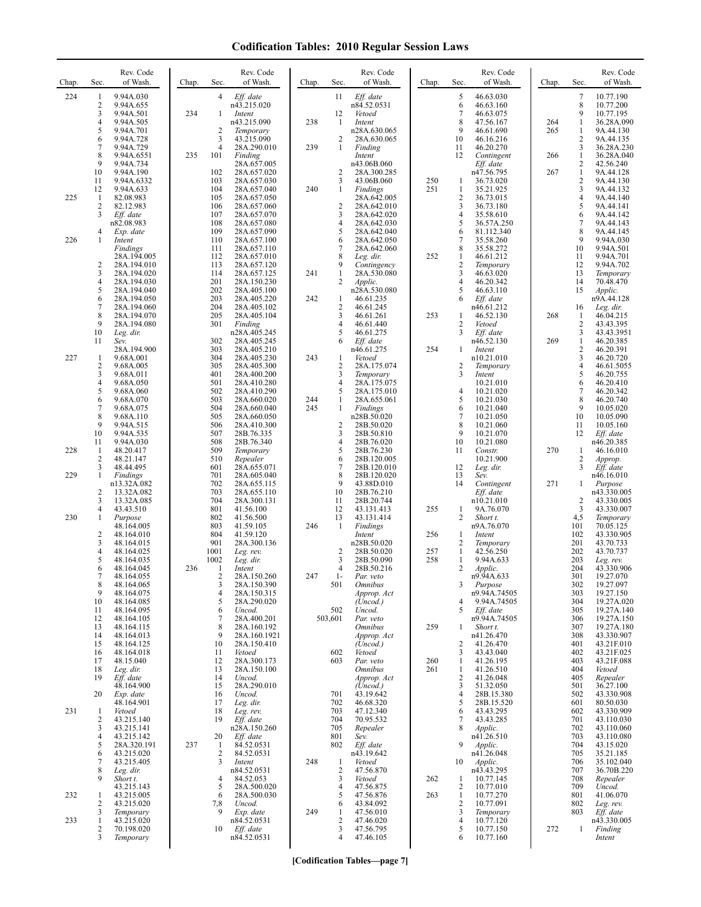| Chap. | Sec.                              | Rev. Code<br>of Wash.                     | Chap. | Sec.                     | Rev. Code<br>of Wash.                      | Chap. | Sec.                     | Rev. Code<br>of Wash.                             | Chap.      | Sec.                                           | Rev. Code<br>of Wash.                  | Chap.      | Sec.                              | Rev. Code<br>of Wash.                  |
|-------|-----------------------------------|-------------------------------------------|-------|--------------------------|--------------------------------------------|-------|--------------------------|---------------------------------------------------|------------|------------------------------------------------|----------------------------------------|------------|-----------------------------------|----------------------------------------|
| 224   | 1<br>$\sqrt{2}$<br>3              | 9.94A.030<br>9.94A.655<br>9.94A.501       | 234   | $\overline{4}$<br>1      | Eff. date<br>n43.215.020<br>Intent         |       | 11<br>12                 | Eff. date<br>n84.52.0531<br>Vetoed                |            | 5<br>6<br>$\tau$                               | 46.63.030<br>46.63.160<br>46.63.075    |            | 7<br>8<br>9                       | 10.77.190<br>10.77.200<br>10.77.195    |
|       | $\overline{4}$<br>5               | 9.94A.505<br>9.94A.701                    |       | 2                        | n43.215.090<br>Temporary                   | 238   | 1                        | Intent<br>n28A.630.065                            |            | 8<br>9                                         | 47.56.167<br>46.61.690                 | 264<br>265 | $\mathbf{1}$<br>1                 | 36.28A.090<br>9A.44.130                |
|       | 6<br>7                            | 9.94A.728<br>9.94A.729                    |       | 3<br>$\overline{4}$      | 43.215.090<br>28A.290.010                  | 239   | 2<br>$\mathbf{1}$        | 28A.630.065<br>Finding                            |            | 10<br>11                                       | 46.16.216<br>46.20.270                 |            | $\mathbf{2}$<br>3                 | 9A.44.135<br>36.28A.230                |
|       | 8<br>9                            | 9.94A.6551<br>9.94A.734                   | 235   | 101                      | Finding<br>28A.657.005                     |       |                          | Intent<br>n43.06B.060                             |            | 12                                             | Contingent<br>Eff. date                | 266        | $\mathbf{1}$<br>2                 | 36.28A.040<br>42.56.240                |
|       | 10<br>11<br>12                    | 9.94A.190<br>9.94A.6332<br>9.94A.633      |       | 102<br>103<br>104        | 28A.657.020<br>28A.657.030<br>28A.657.040  | 240   | 2<br>3<br>1              | 28A.300.285<br>43.06B.060<br>Findings             | 250<br>251 | $\mathbf{1}$<br>1                              | n47.56.795<br>36.73.020<br>35.21.925   | 267        | $\mathbf{1}$<br>$\mathbf{2}$<br>3 | 9A.44.128<br>9A.44.130<br>9A.44.132    |
| 225   | 1<br>$\overline{c}$               | 82.08.983<br>82.12.983                    |       | 105<br>106               | 28A.657.050<br>28A.657.060                 |       | 2                        | 28A.642.005<br>28A.642.010                        |            | $\sqrt{2}$<br>3                                | 36.73.015<br>36.73.180                 |            | 4<br>5                            | 9A.44.140<br>9A.44.141                 |
|       | 3                                 | Eff. date<br>n82.08.983                   |       | 107<br>108               | 28A.657.070<br>28A.657.080                 |       | 3<br>4                   | 28A.642.020<br>28A.642.030                        |            | $\overline{4}$<br>5                            | 35.58.610<br>36.57A.250                |            | 6<br>$\tau$                       | 9A.44.142<br>9A.44.143                 |
| 226   | $\overline{4}$<br>1               | Exp. date<br>Intent<br>Findings           |       | 109<br>110<br>111        | 28A.657.090<br>28A.657.100<br>28A.657.110  |       | 5<br>6<br>7              | 28A.642.040<br>28A.642.050<br>28A.642.060         |            | 6<br>$\overline{7}$<br>8                       | 81.112.340<br>35.58.260<br>35.58.272   |            | 8<br>9<br>10                      | 9A.44.145<br>9.94A.030<br>9.94A.501    |
|       | $\overline{\mathbf{c}}$           | 28A.194.005<br>28A.194.010                |       | 112<br>113               | 28A.657.010<br>28A.657.120                 |       | 8<br>9                   | Leg. dir.<br>Contingency                          | 252        | $\mathbf{1}$<br>$\overline{2}$                 | 46.61.212<br>Temporary                 |            | 11<br>12                          | 9.94A.701<br>9.94A.702                 |
|       | 3<br>$\overline{4}$               | 28A.194.020<br>28A.194.030                |       | 114<br>201               | 28A.657.125<br>28A.150.230                 | 241   | 1<br>2                   | 28A.530.080<br>Applic.                            |            | 3<br>$\overline{4}$                            | 46.63.020<br>46.20.342                 |            | 13<br>14                          | Temporary<br>70.48.470                 |
|       | 5<br>6                            | 28A.194.040<br>28A.194.050                |       | 202<br>203               | 28A.405.100<br>28A.405.220                 | 242   | 1                        | n28A.530.080<br>46.61.235                         |            | 5<br>6                                         | 46.63.110<br>Eff. date                 |            | 15                                | Applic.<br>n9A.44.128                  |
|       | $\overline{7}$<br>8<br>9          | 28A.194.060<br>28A.194.070<br>28A.194.080 |       | 204<br>205<br>301        | 28A.405.102<br>28A.405.104<br>Finding      |       | $\overline{2}$<br>3<br>4 | 46.61.245<br>46.61.261<br>46.61.440               | 253        | 1<br>2                                         | n46.61.212<br>46.52.130<br>Vetoed      | 268        | 16<br>-1<br>2                     | Leg. dir.<br>46.04.215<br>43.43.395    |
|       | 10<br>11                          | Leg. dir.<br>Sev.                         |       | 302                      | n28A.405.245<br>28A.405.245                |       | 5<br>6                   | 46.61.275<br>Eff. date                            |            | 3                                              | $Eff.$ date<br>n46.52.130              | 269        | 3<br>$\mathbf{1}$                 | 43.43.3951<br>46.20.385                |
| 227   | 1                                 | 28A.194.900<br>9.68A.001                  |       | 303<br>304               | 28A.405.210<br>28A.405.230                 | 243   | 1                        | n46.61.275<br>Vetoed                              | 254        | 1                                              | Intent<br>n10.21.010                   |            | $\sqrt{2}$<br>3                   | 46.20.391<br>46.20.720                 |
|       | $\sqrt{2}$<br>3<br>$\overline{4}$ | 9.68A.005<br>9.68A.011<br>9.68A.050       |       | 305<br>401<br>501        | 28A.405.300<br>28A.400.200<br>28A.410.280  |       | 2<br>3<br>4              | 28A.175.074<br>Temporary<br>28A.175.075           |            | 2<br>3                                         | Temporary<br>Intent<br>10.21.010       |            | 4<br>5<br>6                       | 46.61.5055<br>46.20.755<br>46.20.410   |
|       | 5<br>6                            | 9.68A.060<br>9.68A.070                    |       | 502<br>503               | 28A.410.290<br>28A.660.020                 | 244   | 5<br>1                   | 28A.175.010<br>28A.655.061                        |            | $\overline{4}$<br>5                            | 10.21.020<br>10.21.030                 |            | $\tau$<br>8                       | 46.20.342<br>46.20.740                 |
|       | 7<br>8                            | 9.68A.075<br>9.68A.110                    |       | 504<br>505               | 28A.660.040<br>28A.660.050                 | 245   | 1                        | Findings<br>n28B.50.020                           |            | 6<br>7                                         | 10.21.040<br>10.21.050                 |            | 9<br>10                           | 10.05.020<br>10.05.090                 |
|       | 9<br>10<br>11                     | 9.94A.515<br>9.94A.535<br>9.94A.030       |       | 506<br>507<br>508        | 28A.410.300<br>28B.76.335<br>28B.76.340    |       | 2<br>3<br>4              | 28B.50.020<br>28B.50.810<br>28B.76.020            |            | 8<br>9<br>10                                   | 10.21.060<br>10.21.070<br>10.21.080    |            | 11<br>12                          | 10.05.160<br>Eff. date<br>n46.20.385   |
| 228   | 1<br>2                            | 48.20.417<br>48.21.147                    |       | 509<br>510               | Temporary<br>Repealer                      |       | 5<br>6                   | 28B.76.230<br>28B.120.005                         |            | 11                                             | Constr.<br>10.21.900                   | 270        | 1<br>$\overline{c}$               | 46.16.010<br>Approp.                   |
| 229   | 3<br>1                            | 48.44.495<br>Findings                     |       | 601<br>701               | 28A.655.071<br>28A.605.040                 |       | 7<br>8                   | 28B.120.010<br>28B.120.020                        |            | 12<br>13                                       | Leg. dir.<br>Sev.                      |            | 3                                 | Eff. date<br>n46.16.010                |
|       | 2<br>3                            | n13.32A.082<br>13.32A.082<br>13.32A.085   |       | 702<br>703<br>704        | 28A.655.115<br>28A.655.110<br>28A.300.131  |       | 9<br>10<br>11            | 43.88D.010<br>28B.76.210<br>28B.20.744            |            | 14                                             | Contingent<br>Eff. date<br>n10.21.010  | 271        | 1<br>2                            | Purpose<br>n43.330.005<br>43.330.005   |
| 230   | 4<br>1                            | 43.43.510<br>Purpose                      |       | 801<br>802               | 41.56.100<br>41.56.500                     |       | 12<br>13                 | 43.131.413<br>43.131.414                          | 255        | 1<br>$\overline{2}$                            | 9A.76.070<br>Short t.                  |            | 3<br>4,5                          | 43.330.007<br>Temporary                |
|       | $\overline{\mathbf{c}}$           | 48.164.005<br>48.164.010                  |       | 803<br>804               | 41.59.105<br>41.59.120                     | 246   | 1                        | Findings<br>Intent                                | 256        | -1                                             | n9A.76.070<br>Intent                   |            | 101<br>102                        | 70.05.125<br>43.330.905                |
|       | 3<br>$\overline{4}$<br>5          | 48.164.015<br>48.164.025                  |       | 901<br>1001              | 28A.300.136<br>Leg. rev.                   |       | 2                        | n28B.50.020<br>28B.50.020                         | 257        | $\overline{2}$<br>1<br>$\mathbf{1}$            | Temporary<br>42.56.250                 |            | 201<br>202                        | 43.70.733<br>43.70.737                 |
|       | 6                                 | 48.164.035<br>48.164.045<br>48.164.055    | 236   | 1002<br>-1<br>2          | Leg. dir.<br>Intent<br>28A.150.260         | 247   | 3<br>4<br>$\mathbf{I}$   | 28B.50.090<br>28B.50.216<br>Par. veto             | 258        | $\overline{2}$                                 | 9.94A.633<br>Applic.<br>n9.94A.633     |            | 203<br>204<br>301                 | Leg. rev.<br>43.330.906<br>19.27.070   |
|       | 8<br>9                            | 48.164.065<br>48.164.075                  |       | 3<br>$\overline{4}$      | 28A.150.390<br>28A.150.315                 |       | 501                      | <i><b>Omnibus</b></i><br>Approp. Act              |            | 3                                              | Purpose<br>n9.94A.74505                |            | 302<br>303                        | 19.27.097<br>19.27.150                 |
|       | 10<br>11                          | 48.164.085<br>48.164.095                  |       | 5<br>6<br>$\overline{7}$ | 28A.290.020<br>Uncod.                      |       | 502                      | (Uncod.)<br>Uncod.                                |            | $\overline{4}$<br>5                            | 9.94A.74505<br>Eff. date               |            | 304<br>305                        | 19.27A.020<br>19.27A.140<br>19.27A.150 |
|       | 12<br>13<br>14                    | 48.164.105<br>48.164.115<br>48.164.013    |       | 8<br>9                   | 28A.400.201<br>28A.160.192<br>28A.160.1921 |       | 503,601                  | Par. veto<br><b>Omnibus</b><br>Approp. Act        | 259        | 1                                              | n9.94A.74505<br>Short t.<br>n41.26.470 |            | 306<br>307<br>308                 | 19.27A.180<br>43.330.907               |
|       | 15<br>16                          | 48.164.125<br>48.164.018                  |       | 10<br>11                 | 28A.150.410<br>Vetoed                      |       | 602                      | (Uncod.)<br>Vetoed                                |            | $\overline{2}$<br>3                            | 41.26.470<br>43.43.040                 |            | 401<br>402                        | 43.21F.010<br>43.21F.025               |
|       | 17<br>18<br>19                    | 48.15.040<br>Leg. dir.<br>Eff. date       |       | 12<br>13<br>14           | 28A.300.173<br>28A.150.100<br>Uncod.       |       | 603                      | Par. veto<br><i><b>Omnibus</b></i><br>Approp. Act | 260<br>261 | 1<br>1<br>$\overline{2}$                       | 41.26.195<br>41.26.510<br>41.26.048    |            | 403<br>404<br>405                 | 43.21F.088<br>Vetoed<br>Repealer       |
|       | 20                                | 48.164.900<br>Exp. date                   |       | 15<br>16                 | 28A.290.010<br>Uncod.                      |       | 701                      | (Uncod.)<br>43.19.642                             |            | 3<br>4                                         | 51.32.050<br>28B.15.380                |            | 501<br>502                        | 36.27.100<br>43.330.908                |
| 231   | -1                                | 48.164.901<br>Vetoed                      |       | 17<br>18                 | Leg. dir.<br>Leg. rev.                     |       | 702<br>703               | 46.68.320<br>47.12.340                            |            | 5<br>6                                         | 28B.15.520<br>43.43.295                |            | 601<br>602                        | 80.50.030<br>43.330.909                |
|       | 2<br>3<br>$\overline{4}$          | 43.215.140<br>43.215.141<br>43.215.142    |       | 19<br>20                 | Eff. date<br>n28A.150.260<br>Eff. date     |       | 704<br>705<br>801        | 70.95.532<br>Repealer<br>Sev.                     |            | $\overline{7}$<br>8                            | 43.43.285<br>Applic.<br>n41.26.510     |            | 701<br>702<br>703                 | 43.110.030<br>43.110.060<br>43.110.080 |
|       | 5<br>6                            | 28A.320.191<br>43.215.020                 | 237   | -1<br>2                  | 84.52.0531<br>84.52.0531                   |       | 802                      | Eff. date<br>n43.19.642                           |            | 9                                              | Applic.<br>n41.26.048                  |            | 704<br>705                        | 43.15.020<br>35.21.185                 |
|       | 7<br>8                            | 43.215.405<br>Leg. dir.                   |       | 3                        | Intent<br>n84.52.0531                      | 248   | 1<br>2                   | Vetoed<br>47.56.870                               |            | 10                                             | Applic.<br>n43.43.295                  |            | 706<br>707                        | 35.102.040<br>36.70B.220               |
| 232   | 9<br>1                            | Short t.<br>43.215.143<br>43.215.005      |       | 4<br>5<br>6              | 84.52.053<br>28A.500.020<br>28A.500.030    |       | 3<br>4<br>5              | Vetoed<br>47.56.875<br>47.56.876                  | 262<br>263 | $\mathbf{1}$<br>$\overline{c}$<br>$\mathbf{1}$ | 10.77.145<br>10.77.010<br>10.77.270    |            | 708<br>709<br>801                 | Repealer<br>Uncod.<br>41.06.070        |
|       | 2<br>3                            | 43.215.020<br>Temporary                   |       | 7,8<br>9                 | Uncod.<br>Exp. date                        | 249   | 6<br>1                   | 43.84.092<br>47.56.010                            |            | $\overline{2}$<br>3                            | 10.77.091<br>Temporary                 |            | 802<br>803                        | Leg. rev.<br>Eff. date                 |
| 233   | 1<br>$\overline{c}$               | 43.215.020<br>70.198.020                  |       | 10                       | n84.52.0531<br>Eff. date                   |       | 2<br>3                   | 47.46.020<br>47.56.795                            |            | $\overline{4}$<br>5                            | 10.77.120<br>10.77.150                 | 272        | 1                                 | n43.330.005<br>Finding                 |
|       | 3                                 | Temporary                                 |       |                          | n84.52.0531                                |       | 4                        | 47.46.105                                         |            | 6                                              | 10.77.160                              |            |                                   | Intent                                 |

**[Codification Tables—page 7]**